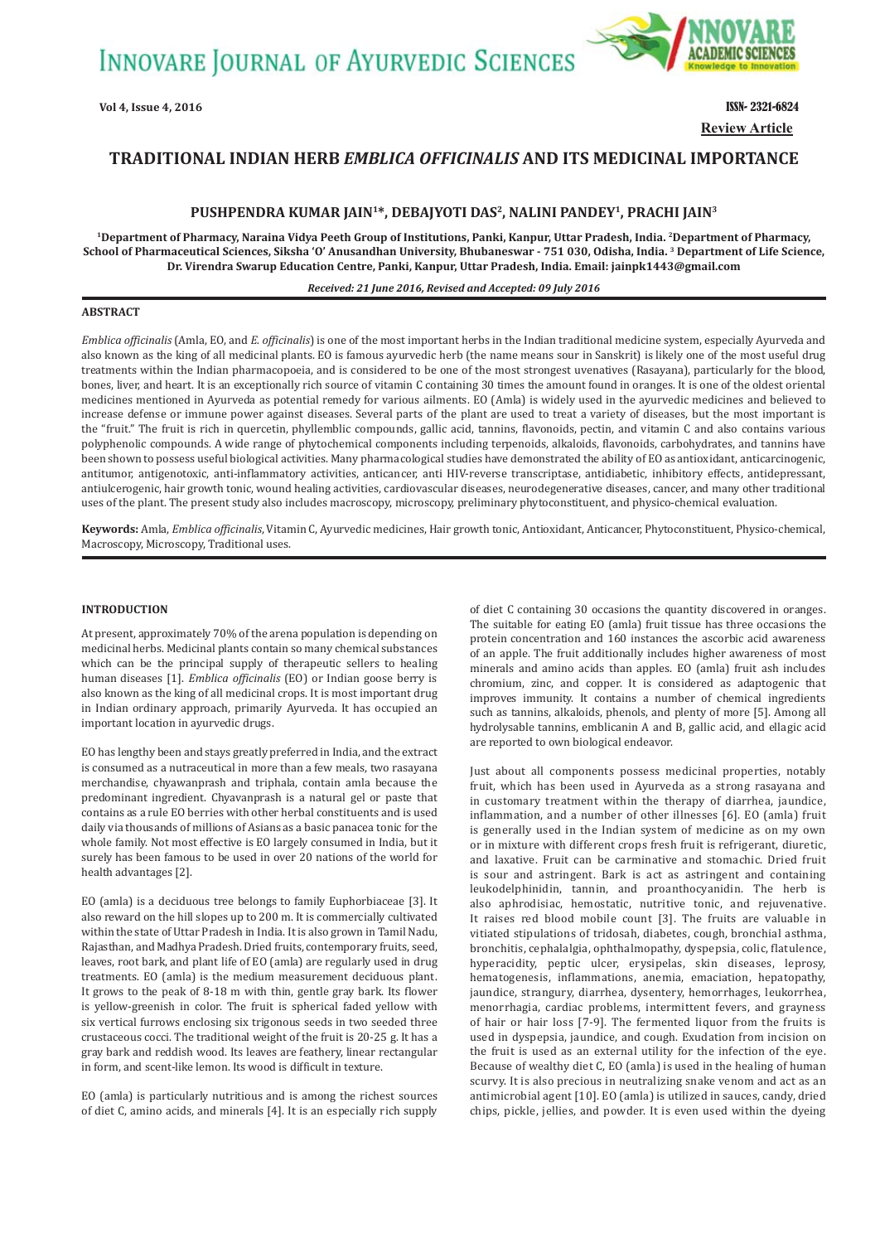**INNOVARE JOURNAL OF AYURVEDIC SCIENCES** 



**Vol 4, Issue 4, 2016** ISSN- 2321-6824 **Review Article**

# **TRADITIONAL INDIAN HERB** *EMBLICA OFFICINALIS* **AND ITS MEDICINAL IMPORTANCE**

# PUSHPENDRA KUMAR JAIN<sup>1\*</sup>, DEBAJYOTI DAS<sup>2</sup>, NALINI PANDEY<sup>1</sup>, PRACHI JAIN<sup>3</sup>

**1Department of Pharmacy, Naraina Vidya Peeth Group of Institutions, Panki, Kanpur, Uttar Pradesh, India. 2Department of Pharmacy, School of Pharmaceutical Sciences, Siksha 'O' Anusandhan University, Bhubaneswar - 751 030, Odisha, India. 3 Department of Life Science, Dr. Virendra Swarup Education Centre, Panki, Kanpur, Uttar Pradesh, India. Email: jainpk1443@gmail.com**

#### *Received: 21 June 2016, Revised and Accepted: 09 July 2016*

## **ABSTRACT**

*Emblica officinalis* (Amla, EO, and *E. officinalis*) is one of the most important herbs in the Indian traditional medicine system, especially Ayurveda and also known as the king of all medicinal plants. EO is famous ayurvedic herb (the name means sour in Sanskrit) is likely one of the most useful drug treatments within the Indian pharmacopoeia, and is considered to be one of the most strongest uvenatives (Rasayana), particularly for the blood, bones, liver, and heart. It is an exceptionally rich source of vitamin C containing 30 times the amount found in oranges. It is one of the oldest oriental medicines mentioned in Ayurveda as potential remedy for various ailments. EO (Amla) is widely used in the ayurvedic medicines and believed to increase defense or immune power against diseases. Several parts of the plant are used to treat a variety of diseases, but the most important is the "fruit." The fruit is rich in quercetin, phyllemblic compounds, gallic acid, tannins, flavonoids, pectin, and vitamin C and also contains various polyphenolic compounds. A wide range of phytochemical components including terpenoids, alkaloids, flavonoids, carbohydrates, and tannins have been shown to possess useful biological activities. Many pharmacological studies have demonstrated the ability of EO as antioxidant, anticarcinogenic, antitumor, antigenotoxic, anti-inflammatory activities, anticancer, anti HIV-reverse transcriptase, antidiabetic, inhibitory effects, antidepressant, antiulcerogenic, hair growth tonic, wound healing activities, cardiovascular diseases, neurodegenerative diseases, cancer, and many other traditional uses of the plant. The present study also includes macroscopy, microscopy, preliminary phytoconstituent, and physico-chemical evaluation.

**Keywords:** Amla, *Emblica officinalis*, Vitamin C, Ayurvedic medicines, Hair growth tonic, Antioxidant, Anticancer, Phytoconstituent, Physico-chemical, Macroscopy, Microscopy, Traditional uses.

## **INTRODUCTION**

At present, approximately 70% of the arena population is depending on medicinal herbs. Medicinal plants contain so many chemical substances which can be the principal supply of therapeutic sellers to healing human diseases [1]. *Emblica officinalis* (EO) or Indian goose berry is also known as the king of all medicinal crops. It is most important drug in Indian ordinary approach, primarily Ayurveda. It has occupied an important location in ayurvedic drugs.

EO has lengthy been and stays greatly preferred in India, and the extract is consumed as a nutraceutical in more than a few meals, two rasayana merchandise, chyawanprash and triphala, contain amla because the predominant ingredient. Chyavanprash is a natural gel or paste that contains as a rule EO berries with other herbal constituents and is used daily via thousands of millions of Asians as a basic panacea tonic for the whole family. Not most effective is EO largely consumed in India, but it surely has been famous to be used in over 20 nations of the world for health advantages [2].

EO (amla) is a deciduous tree belongs to family Euphorbiaceae [3]. It also reward on the hill slopes up to 200 m. It is commercially cultivated within the state of Uttar Pradesh in India. It is also grown in Tamil Nadu, Rajasthan, and Madhya Pradesh. Dried fruits, contemporary fruits, seed, leaves, root bark, and plant life of EO (amla) are regularly used in drug treatments. EO (amla) is the medium measurement deciduous plant. It grows to the peak of 8-18 m with thin, gentle gray bark. Its flower is yellow-greenish in color. The fruit is spherical faded yellow with six vertical furrows enclosing six trigonous seeds in two seeded three crustaceous cocci. The traditional weight of the fruit is 20-25 g. It has a gray bark and reddish wood. Its leaves are feathery, linear rectangular in form, and scent-like lemon. Its wood is difficult in texture.

EO (amla) is particularly nutritious and is among the richest sources of diet C, amino acids, and minerals [4]. It is an especially rich supply

of diet C containing 30 occasions the quantity discovered in oranges. The suitable for eating EO (amla) fruit tissue has three occasions the protein concentration and 160 instances the ascorbic acid awareness of an apple. The fruit additionally includes higher awareness of most minerals and amino acids than apples. EO (amla) fruit ash includes chromium, zinc, and copper. It is considered as adaptogenic that improves immunity. It contains a number of chemical ingredients such as tannins, alkaloids, phenols, and plenty of more [5]. Among all hydrolysable tannins, emblicanin A and B, gallic acid, and ellagic acid are reported to own biological endeavor.

Just about all components possess medicinal properties, notably fruit, which has been used in Ayurveda as a strong rasayana and in customary treatment within the therapy of diarrhea, jaundice, inflammation, and a number of other illnesses [6]. EO (amla) fruit is generally used in the Indian system of medicine as on my own or in mixture with different crops fresh fruit is refrigerant, diuretic, and laxative. Fruit can be carminative and stomachic. Dried fruit is sour and astringent. Bark is act as astringent and containing leukodelphinidin, tannin, and proanthocyanidin. The herb is also aphrodisiac, hemostatic, nutritive tonic, and rejuvenative. It raises red blood mobile count [3]. The fruits are valuable in vitiated stipulations of tridosah, diabetes, cough, bronchial asthma, bronchitis, cephalalgia, ophthalmopathy, dyspepsia, colic, flatulence, hyperacidity, peptic ulcer, erysipelas, skin diseases, leprosy, hematogenesis, inflammations, anemia, emaciation, hepatopathy, jaundice, strangury, diarrhea, dysentery, hemorrhages, leukorrhea, menorrhagia, cardiac problems, intermittent fevers, and grayness of hair or hair loss [7-9]. The fermented liquor from the fruits is used in dyspepsia, jaundice, and cough. Exudation from incision on the fruit is used as an external utility for the infection of the eye. Because of wealthy diet C, EO (amla) is used in the healing of human scurvy. It is also precious in neutralizing snake venom and act as an antimicrobial agent [10]. EO (amla) is utilized in sauces, candy, dried chips, pickle, jellies, and powder. It is even used within the dyeing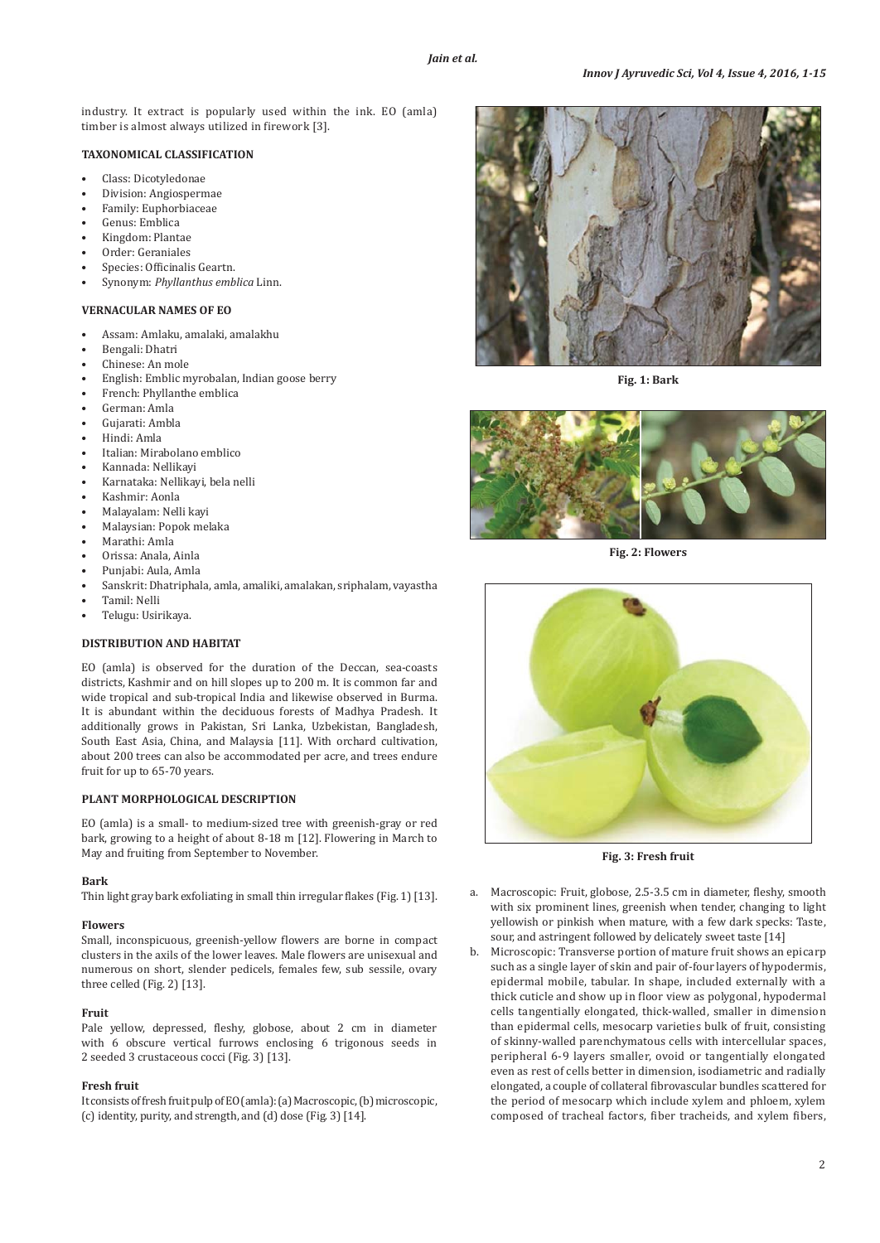industry. It extract is popularly used within the ink. EO (amla) timber is almost always utilized in firework [3].

## **TAXONOMICAL CLASSIFICATION**

- Class: Dicotyledonae
- Division: Angiospermae
- Family: Euphorbiaceae
- Genus: Emblica
- Kingdom: Plantae
- Order: Geraniales
- Species: Officinalis Geartn.
- Synonym: *Phyllanthus emblica* Linn.

## **VERNACULAR NAMES OF EO**

- Assam: Amlaku, amalaki, amalakhu
- Bengali: Dhatri
- Chinese: An mole
- English: Emblic myrobalan, Indian goose berry
- French: Phyllanthe emblica
- German: Amla
- Gujarati: Ambla
- Hindi: Amla
- Italian: Mirabolano emblico
- Kannada: Nellikayi
- Karnataka: Nellikayi, bela nelli
- Kashmir: Aonla
- Malayalam: Nelli kayi
- Malaysian: Popok melaka
- Marathi: Amla
- Orissa: Anala, Ainla
- Punjabi: Aula, Amla
- Sanskrit: Dhatriphala, amla, amaliki, amalakan, sriphalam, vayastha
- Tamil: Nelli
- Telugu: Usirikaya.

# **DISTRIBUTION AND HABITAT**

EO (amla) is observed for the duration of the Deccan, sea-coasts districts, Kashmir and on hill slopes up to 200 m. It is common far and wide tropical and sub-tropical India and likewise observed in Burma. It is abundant within the deciduous forests of Madhya Pradesh. It additionally grows in Pakistan, Sri Lanka, Uzbekistan, Bangladesh, South East Asia, China, and Malaysia [11]. With orchard cultivation, about 200 trees can also be accommodated per acre, and trees endure fruit for up to 65-70 years.

# **PLANT MORPHOLOGICAL DESCRIPTION**

EO (amla) is a small- to medium-sized tree with greenish-gray or red bark, growing to a height of about 8-18 m [12]. Flowering in March to May and fruiting from September to November.

## **Bark**

Thin light gray bark exfoliating in small thin irregular flakes (Fig. 1) [13].

# **Flowers**

Small, inconspicuous, greenish-yellow flowers are borne in compact clusters in the axils of the lower leaves. Male flowers are unisexual and numerous on short, slender pedicels, females few, sub sessile, ovary three celled (Fig. 2) [13].

## **Fruit**

Pale yellow, depressed, fleshy, globose, about 2 cm in diameter with 6 obscure vertical furrows enclosing 6 trigonous seeds in 2 seeded 3 crustaceous cocci (Fig. 3) [13].

#### **Fresh fruit**

It consists of fresh fruit pulp of EO (amla): (a) Macroscopic, (b) microscopic, (c) identity, purity, and strength, and (d) dose (Fig. 3) [14].



**Fig. 1: Bark**



**Fig. 2: Flowers**



**Fig. 3: Fresh fruit**

- a. Macroscopic: Fruit, globose, 2.5-3.5 cm in diameter, fleshy, smooth with six prominent lines, greenish when tender, changing to light yellowish or pinkish when mature, with a few dark specks: Taste, sour, and astringent followed by delicately sweet taste [14]
- b. Microscopic: Transverse portion of mature fruit shows an epicarp such as a single layer of skin and pair of-four layers of hypodermis, epidermal mobile, tabular. In shape, included externally with a thick cuticle and show up in floor view as polygonal, hypodermal cells tangentially elongated, thick-walled, smaller in dimension than epidermal cells, mesocarp varieties bulk of fruit, consisting of skinny-walled parenchymatous cells with intercellular spaces, peripheral 6-9 layers smaller, ovoid or tangentially elongated even as rest of cells better in dimension, isodiametric and radially elongated, a couple of collateral fibrovascular bundles scattered for the period of mesocarp which include xylem and phloem, xylem composed of tracheal factors, fiber tracheids, and xylem fibers,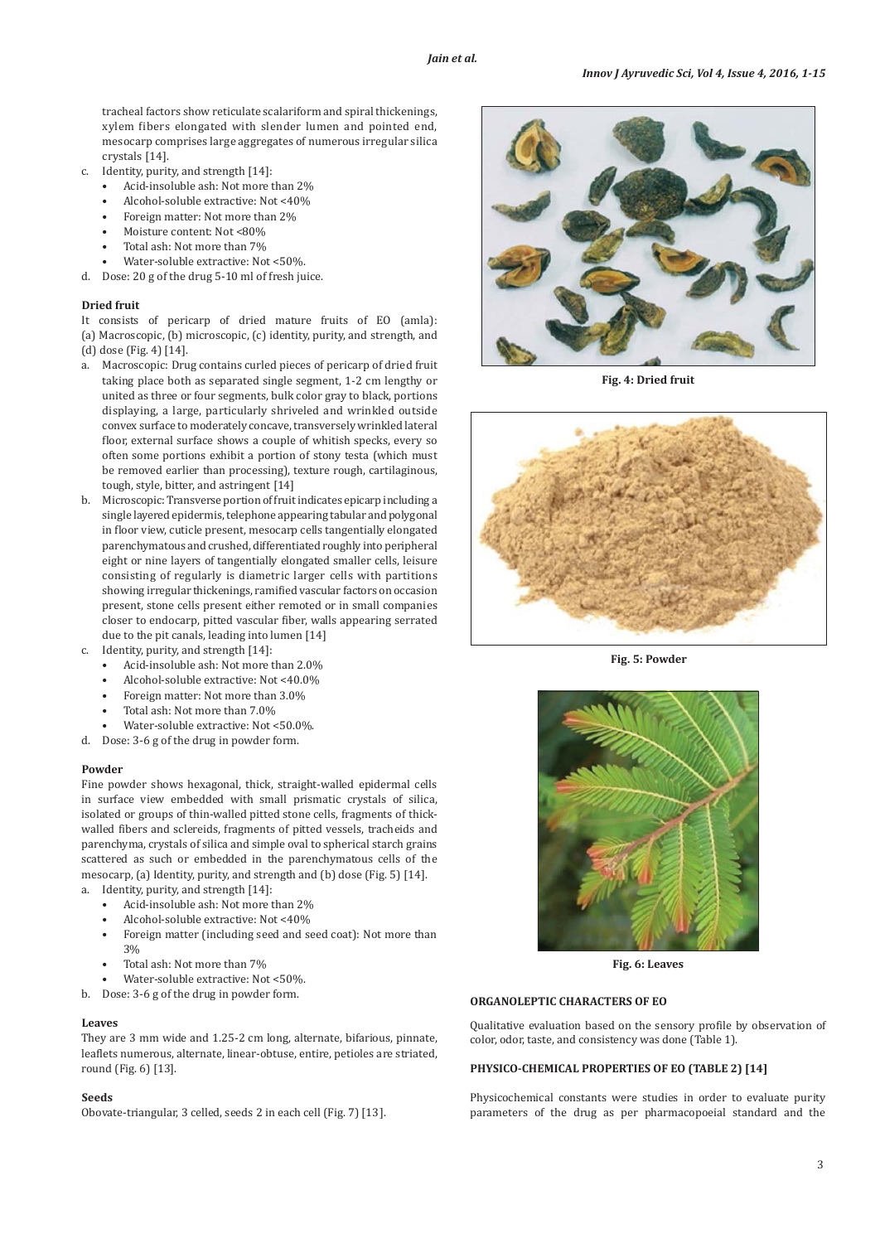tracheal factors show reticulate scalariform and spiral thickenings, xylem fibers elongated with slender lumen and pointed end, mesocarp comprises large aggregates of numerous irregular silica crystals [14].

- c. Identity, purity, and strength [14]:
	- Acid-insoluble ash: Not more than 2%
	- Alcohol-soluble extractive: Not <40%
	- Foreign matter: Not more than 2%
	- Moisture content: Not <80%
	- Total ash: Not more than 7%
	- Water-soluble extractive: Not <50%.
- d. Dose: 20 g of the drug 5-10 ml of fresh juice.

## **Dried fruit**

It consists of pericarp of dried mature fruits of EO (amla): (a) Macroscopic, (b) microscopic, (c) identity, purity, and strength, and (d) dose (Fig. 4) [14].

- a. Macroscopic: Drug contains curled pieces of pericarp of dried fruit taking place both as separated single segment, 1-2 cm lengthy or united as three or four segments, bulk color gray to black, portions displaying, a large, particularly shriveled and wrinkled outside convex surface to moderately concave, transversely wrinkled lateral floor, external surface shows a couple of whitish specks, every so often some portions exhibit a portion of stony testa (which must be removed earlier than processing), texture rough, cartilaginous, tough, style, bitter, and astringent [14]
- b. Microscopic: Transverse portion of fruit indicates epicarp including a single layered epidermis, telephone appearing tabular and polygonal in floor view, cuticle present, mesocarp cells tangentially elongated parenchymatous and crushed, differentiated roughly into peripheral eight or nine layers of tangentially elongated smaller cells, leisure consisting of regularly is diametric larger cells with partitions showing irregular thickenings, ramified vascular factors on occasion present, stone cells present either remoted or in small companies closer to endocarp, pitted vascular fiber, walls appearing serrated due to the pit canals, leading into lumen [14] c. Identity, purity, and strength [14]:
	- - Acid-insoluble ash: Not more than 2.0%
		- Alcohol-soluble extractive: Not <40.0%
		- Foreign matter: Not more than 3.0%
		- Total ash: Not more than 7.0%
	- Water-soluble extractive: Not <50.0%.
- d. Dose: 3-6 g of the drug in powder form.

#### **Powder**

Fine powder shows hexagonal, thick, straight-walled epidermal cells in surface view embedded with small prismatic crystals of silica, isolated or groups of thin-walled pitted stone cells, fragments of thickwalled fibers and sclereids, fragments of pitted vessels, tracheids and parenchyma, crystals of silica and simple oval to spherical starch grains scattered as such or embedded in the parenchymatous cells of the mesocarp, (a) Identity, purity, and strength and (b) dose (Fig. 5) [14]. a. Identity, purity, and strength [14]:

- 
- Acid-insoluble ash: Not more than 2% • Alcohol-soluble extractive: Not <40%
- Foreign matter (including seed and seed coat): Not more than 3%
- Total ash: Not more than 7%
- Water-soluble extractive: Not <50%.
- b. Dose: 3-6 g of the drug in powder form.

# **Leaves**

They are 3 mm wide and 1.25-2 cm long, alternate, bifarious, pinnate, leaflets numerous, alternate, linear-obtuse, entire, petioles are striated, round (Fig. 6) [13].

# **Seeds**

Obovate-triangular, 3 celled, seeds 2 in each cell (Fig. 7) [13].



**Fig. 4: Dried fruit**



**Fig. 5: Powder**



**Fig. 6: Leaves**

#### **ORGANOLEPTIC CHARACTERS OF EO**

Qualitative evaluation based on the sensory profile by observation of color, odor, taste, and consistency was done (Table 1).

## **PHYSICO-CHEMICAL PROPERTIES OF EO (TABLE 2) [14]**

Physicochemical constants were studies in order to evaluate purity parameters of the drug as per pharmacopoeial standard and the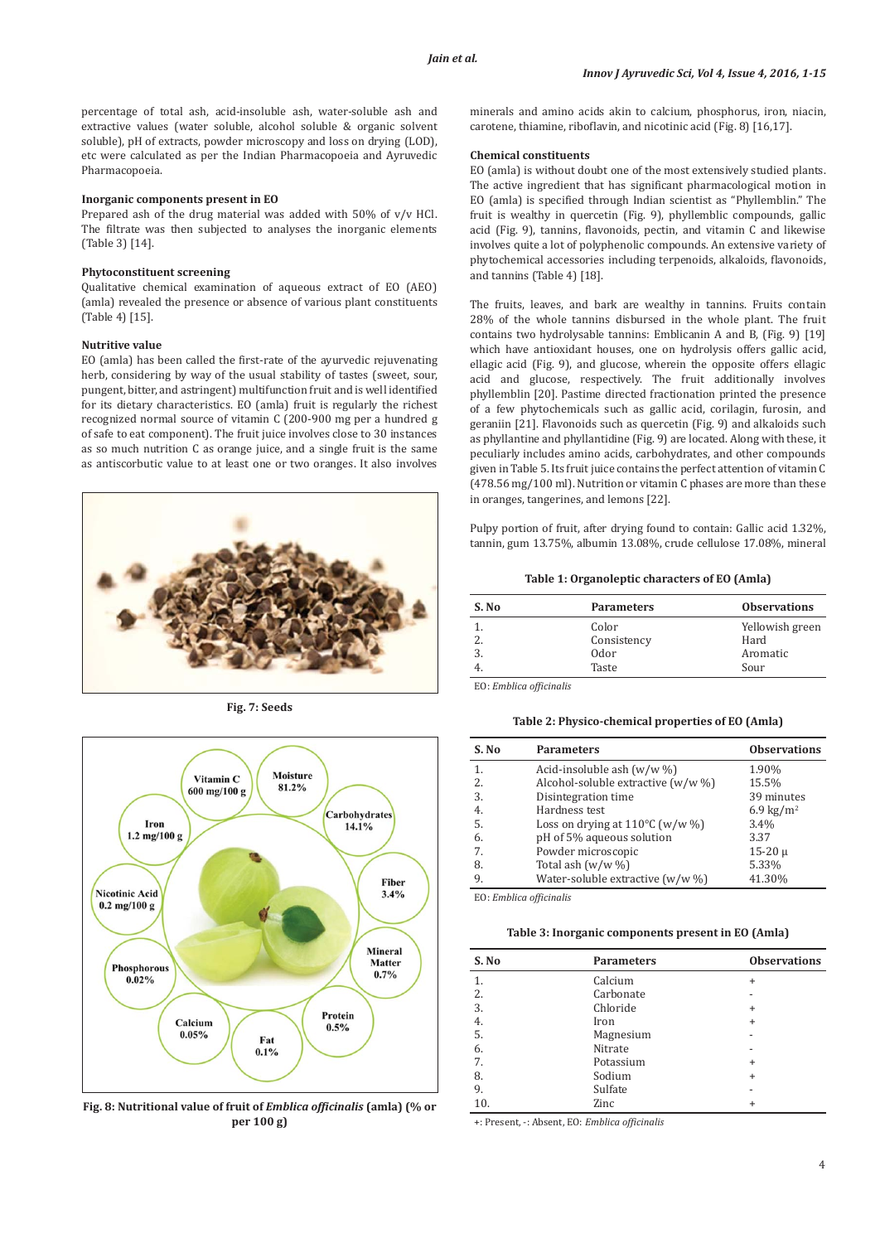percentage of total ash, acid-insoluble ash, water-soluble ash and extractive values (water soluble, alcohol soluble & organic solvent soluble), pH of extracts, powder microscopy and loss on drying (LOD), etc were calculated as per the Indian Pharmacopoeia and Ayruvedic Pharmacopoeia.

## **Inorganic components present in EO**

Prepared ash of the drug material was added with 50% of v/v HCl. The filtrate was then subjected to analyses the inorganic elements (Table 3) [14].

## **Phytoconstituent screening**

Qualitative chemical examination of aqueous extract of EO (AEO) (amla) revealed the presence or absence of various plant constituents (Table 4) [15].

## **Nutritive value**

EO (amla) has been called the first-rate of the ayurvedic rejuvenating herb, considering by way of the usual stability of tastes (sweet, sour, pungent, bitter, and astringent) multifunction fruit and is well identified for its dietary characteristics. EO (amla) fruit is regularly the richest recognized normal source of vitamin C (200-900 mg per a hundred g of safe to eat component). The fruit juice involves close to 30 instances as so much nutrition C as orange juice, and a single fruit is the same as antiscorbutic value to at least one or two oranges. It also involves



**Fig. 7: Seeds**



**Fig. 8: Nutritional value of fruit of** *Emblica officinalis* **(amla) (% or per 100 g)**

minerals and amino acids akin to calcium, phosphorus, iron, niacin, carotene, thiamine, riboflavin, and nicotinic acid (Fig. 8) [16,17].

# **Chemical constituents**

EO (amla) is without doubt one of the most extensively studied plants. The active ingredient that has significant pharmacological motion in EO (amla) is specified through Indian scientist as "Phyllemblin." The fruit is wealthy in quercetin (Fig. 9), phyllemblic compounds, gallic acid (Fig. 9), tannins, flavonoids, pectin, and vitamin C and likewise involves quite a lot of polyphenolic compounds. An extensive variety of phytochemical accessories including terpenoids, alkaloids, flavonoids, and tannins (Table 4) [18].

The fruits, leaves, and bark are wealthy in tannins. Fruits contain 28% of the whole tannins disbursed in the whole plant. The fruit contains two hydrolysable tannins: Emblicanin A and B, (Fig. 9) [19] which have antioxidant houses, one on hydrolysis offers gallic acid, ellagic acid (Fig. 9), and glucose, wherein the opposite offers ellagic acid and glucose, respectively. The fruit additionally involves phyllemblin [20]. Pastime directed fractionation printed the presence of a few phytochemicals such as gallic acid, corilagin, furosin, and geraniin [21]. Flavonoids such as quercetin (Fig. 9) and alkaloids such as phyllantine and phyllantidine (Fig. 9) are located. Along with these, it peculiarly includes amino acids, carbohydrates, and other compounds given in Table 5. Its fruit juice contains the perfect attention of vitamin C (478.56 mg/100 ml). Nutrition or vitamin C phases are more than these in oranges, tangerines, and lemons [22].

Pulpy portion of fruit, after drying found to contain: Gallic acid 1.32%, tannin, gum 13.75%, albumin 13.08%, crude cellulose 17.08%, mineral

**Table 1: Organoleptic characters of EO (Amla)**

| S. No | <b>Parameters</b> | <b>Observations</b> |
|-------|-------------------|---------------------|
|       | Color             | Yellowish green     |
|       | Consistency       | Hard                |
| 3.    | 0dor              | Aromatic            |
|       | Taste             | Sour                |

EO: *Emblica officinalis*

#### **Table 2: Physico-chemical properties of EO (Amla)**

| S. No | <b>Parameters</b>                         | <b>Observations</b>   |
|-------|-------------------------------------------|-----------------------|
| 1.    | Acid-insoluble ash $(w/w \%)$             | 1.90%                 |
| 2.    | Alcohol-soluble extractive (w/w %)        | 15.5%                 |
| 3.    | Disintegration time                       | 39 minutes            |
| 4.    | Hardness test                             | 6.9 kg/m <sup>2</sup> |
| 5.    | Loss on drying at $110^{\circ}$ C (w/w %) | 3.4%                  |
| 6.    | pH of 5% aqueous solution                 | 3.37                  |
| 7.    | Powder microscopic                        | $15 - 20 \mu$         |
| 8.    | Total ash $(w/w \%)$                      | 5.33%                 |
| 9.    | Water-soluble extractive (w/w %)          | 41.30%                |

EO: *Emblica officinalis*

**Table 3: Inorganic components present in EO (Amla)**

| S. No | <b>Parameters</b> | <b>Observations</b> |
|-------|-------------------|---------------------|
| 1.    | Calcium           | $\ddot{}$           |
| 2.    | Carbonate         |                     |
| 3.    | Chloride          | $\ddot{}$           |
| 4.    | Iron              | $\ddot{}$           |
| 5.    | Magnesium         |                     |
| 6.    | Nitrate           |                     |
| 7.    | Potassium         | $\ddot{}$           |
| 8.    | Sodium            | $\ddot{}$           |
| 9.    | Sulfate           |                     |
|       | Zinc              |                     |

+: Present, -: Absent, EO: *Emblica officinalis*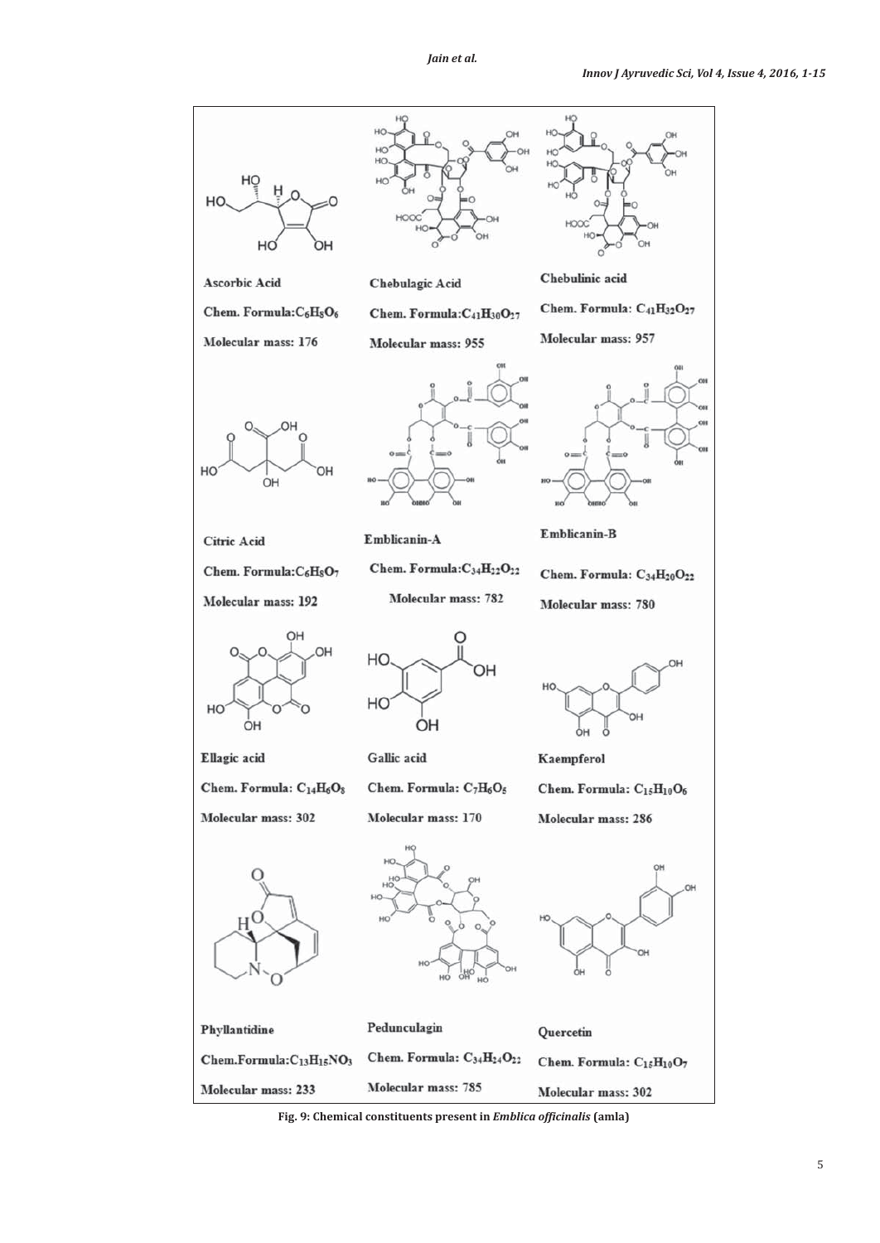

**Fig. 9: Chemical constituents present in** *Emblica officinalis* **(amla)**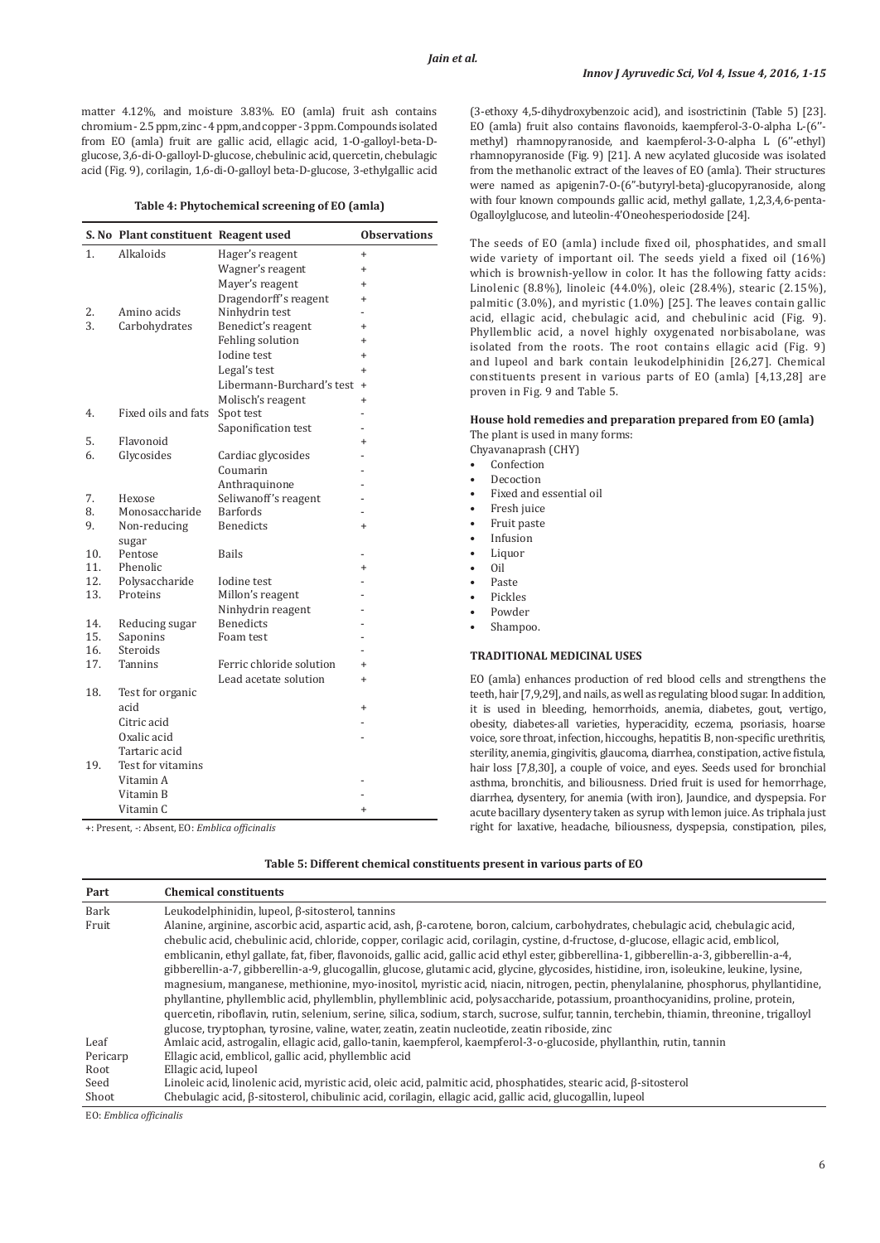matter 4.12%, and moisture 3.83%. EO (amla) fruit ash contains chromium - 2.5 ppm, zinc - 4 ppm, and copper - 3 ppm. Compounds isolated from EO (amla) fruit are gallic acid, ellagic acid, 1-O-galloyl-beta-Dglucose, 3,6-di-O-galloyl-D-glucose, chebulinic acid, quercetin, chebulagic acid (Fig. 9), corilagin, 1,6-di-O-galloyl beta-D-glucose, 3-ethylgallic acid

#### **Table 4: Phytochemical screening of EO (amla)**

|     | S. No Plant constituent Reagent used |                           | <b>Observations</b> |
|-----|--------------------------------------|---------------------------|---------------------|
| 1.  | Alkaloids                            | Hager's reagent           | $^{+}$              |
|     |                                      | Wagner's reagent          | $^{+}$              |
|     |                                      | Mayer's reagent           | $\ddot{}$           |
|     |                                      | Dragendorff's reagent     | $\ddot{}$           |
| 2.  | Amino acids                          | Ninhydrin test            |                     |
| 3.  | Carbohydrates                        | Benedict's reagent        | $\ddot{}$           |
|     |                                      | Fehling solution          | $\ddot{}$           |
|     |                                      | Iodine test               | $\ddot{}$           |
|     |                                      | Legal's test              | $\ddot{}$           |
|     |                                      | Libermann-Burchard's test | $\ddot{}$           |
|     |                                      | Molisch's reagent         | $\ddot{}$           |
| 4.  | Fixed oils and fats                  | Spot test                 |                     |
|     |                                      | Saponification test       |                     |
| 5.  | Flavonoid                            |                           | $^{+}$              |
| 6.  | Glycosides                           | Cardiac glycosides        |                     |
|     |                                      | Coumarin                  |                     |
|     |                                      | Anthraquinone             |                     |
| 7.  | Hexose                               | Seliwanoff's reagent      |                     |
| 8.  | Monosaccharide                       | <b>Barfords</b>           |                     |
| 9.  | Non-reducing<br>sugar                | <b>Benedicts</b>          | $\ddot{}$           |
| 10. | Pentose                              | Bails                     |                     |
| 11. | Phenolic                             |                           | $\ddot{}$           |
| 12. | Polysaccharide                       | Iodine test               |                     |
| 13. | Proteins                             | Millon's reagent          |                     |
|     |                                      | Ninhydrin reagent         |                     |
| 14. | Reducing sugar                       | <b>Benedicts</b>          |                     |
| 15. | Saponins                             | Foam test                 |                     |
| 16. | Steroids                             |                           |                     |
| 17. | Tannins                              | Ferric chloride solution  | $\ddot{}$           |
| 18. | Test for organic                     | Lead acetate solution     | $\ddot{}$           |
|     | acid                                 |                           | $\ddot{}$           |
|     | Citric acid                          |                           |                     |
|     | Oxalic acid                          |                           |                     |
|     | Tartaric acid                        |                           |                     |
| 19. | Test for vitamins                    |                           |                     |
|     | Vitamin A                            |                           |                     |
|     | Vitamin B                            |                           |                     |
|     | Vitamin C                            |                           | $\ddot{}$           |

+: Present, -: Absent, EO: *Emblica officinalis*

(3-ethoxy 4,5-dihydroxybenzoic acid), and isostrictinin (Table 5) [23]. EO (amla) fruit also contains flavonoids, kaempferol-3-O-alpha L-(6'' methyl) rhamnopyranoside, and kaempferol-3-O-alpha L (6''-ethyl) rhamnopyranoside (Fig. 9) [21]. A new acylated glucoside was isolated from the methanolic extract of the leaves of EO (amla). Their structures were named as apigenin7-O-(6"-butyryl-beta)-glucopyranoside, along with four known compounds gallic acid, methyl gallate, 1,2,3,4,6-penta-Ogalloylglucose, and luteolin-4'Oneohesperiodoside [24].

The seeds of EO (amla) include fixed oil, phosphatides, and small wide variety of important oil. The seeds yield a fixed oil (16%) which is brownish-yellow in color. It has the following fatty acids: Linolenic (8.8%), linoleic (44.0%), oleic (28.4%), stearic (2.15%), palmitic (3.0%), and myristic (1.0%) [25]. The leaves contain gallic acid, ellagic acid, chebulagic acid, and chebulinic acid (Fig. 9). Phyllemblic acid, a novel highly oxygenated norbisabolane, was isolated from the roots. The root contains ellagic acid (Fig. 9) and lupeol and bark contain leukodelphinidin [26,27]. Chemical constituents present in various parts of EO (amla) [4,13,28] are proven in Fig. 9 and Table 5.

## **House hold remedies and preparation prepared from EO (amla)** The plant is used in many forms:

Chyavanaprash (CHY)

- Confection
- **Decoction**
- Fixed and essential oil
- Fresh juice
- Fruit paste
- **Infusion**
- Liquor
- Oil
- Paste
- Pickles
- Powder
- Shampoo.

# **TRADITIONAL MEDICINAL USES**

EO (amla) enhances production of red blood cells and strengthens the teeth, hair [7,9,29], and nails, as well as regulating blood sugar. In addition, it is used in bleeding, hemorrhoids, anemia, diabetes, gout, vertigo, obesity, diabetes-all varieties, hyperacidity, eczema, psoriasis, hoarse voice, sore throat, infection, hiccoughs, hepatitis B, non-specific urethritis, sterility, anemia, gingivitis, glaucoma, diarrhea, constipation, active fistula, hair loss [7,8,30], a couple of voice, and eyes. Seeds used for bronchial asthma, bronchitis, and biliousness. Dried fruit is used for hemorrhage, diarrhea, dysentery, for anemia (with iron), Jaundice, and dyspepsia. For acute bacillary dysentery taken as syrup with lemon juice. As triphala just right for laxative, headache, biliousness, dyspepsia, constipation, piles,

| Table 5: Different chemical constituents present in various parts of EO |  |
|-------------------------------------------------------------------------|--|
|-------------------------------------------------------------------------|--|

| Part     | <b>Chemical constituents</b>                                                                                                               |
|----------|--------------------------------------------------------------------------------------------------------------------------------------------|
| Bark     | Leukodelphinidin, lupeol, β-sitosterol, tannins                                                                                            |
| Fruit    | Alanine, arginine, ascorbic acid, aspartic acid, ash, $\beta$ -carotene, boron, calcium, carbohydrates, chebulagic acid, chebulagic acid,  |
|          | chebulic acid, chebulinic acid, chloride, copper, corilagic acid, corilagin, cystine, d-fructose, d-glucose, ellagic acid, emblicol,       |
|          | emblicanin, ethyl gallate, fat, fiber, flavonoids, gallic acid, gallic acid ethyl ester, gibberellina-1, gibberellin-a-3, gibberellin-a-4, |
|          | gibberellin-a-7, gibberellin-a-9, glucogallin, glucose, glutamic acid, glycine, glycosides, histidine, iron, isoleukine, leukine, lysine,  |
|          | magnesium, manganese, methionine, myo-inositol, myristic acid, niacin, nitrogen, pectin, phenylalanine, phosphorus, phyllantidine,         |
|          | phyllantine, phyllemblic acid, phyllemblin, phyllemblinic acid, polysaccharide, potassium, proanthocyanidins, proline, protein,            |
|          | quercetin, riboflavin, rutin, selenium, serine, silica, sodium, starch, sucrose, sulfur, tannin, terchebin, thiamin, threonine, trigalloyl |
|          | glucose, tryptophan, tyrosine, valine, water, zeatin, zeatin nucleotide, zeatin riboside, zinc                                             |
| Leaf     | Amlaic acid, astrogalin, ellagic acid, gallo-tanin, kaempferol, kaempferol-3-o-glucoside, phyllanthin, rutin, tannin                       |
| Pericarp | Ellagic acid, emblicol, gallic acid, phyllemblic acid                                                                                      |
| Root     | Ellagic acid, lupeol                                                                                                                       |
| Seed     | Linoleic acid, linolenic acid, myristic acid, oleic acid, palmitic acid, phosphatides, stearic acid, ß-sitosterol                          |
| Shoot    | Chebulagic acid, β-sitosterol, chibulinic acid, corilagin, ellagic acid, gallic acid, glucogallin, lupeol                                  |

EO: *Emblica officinalis*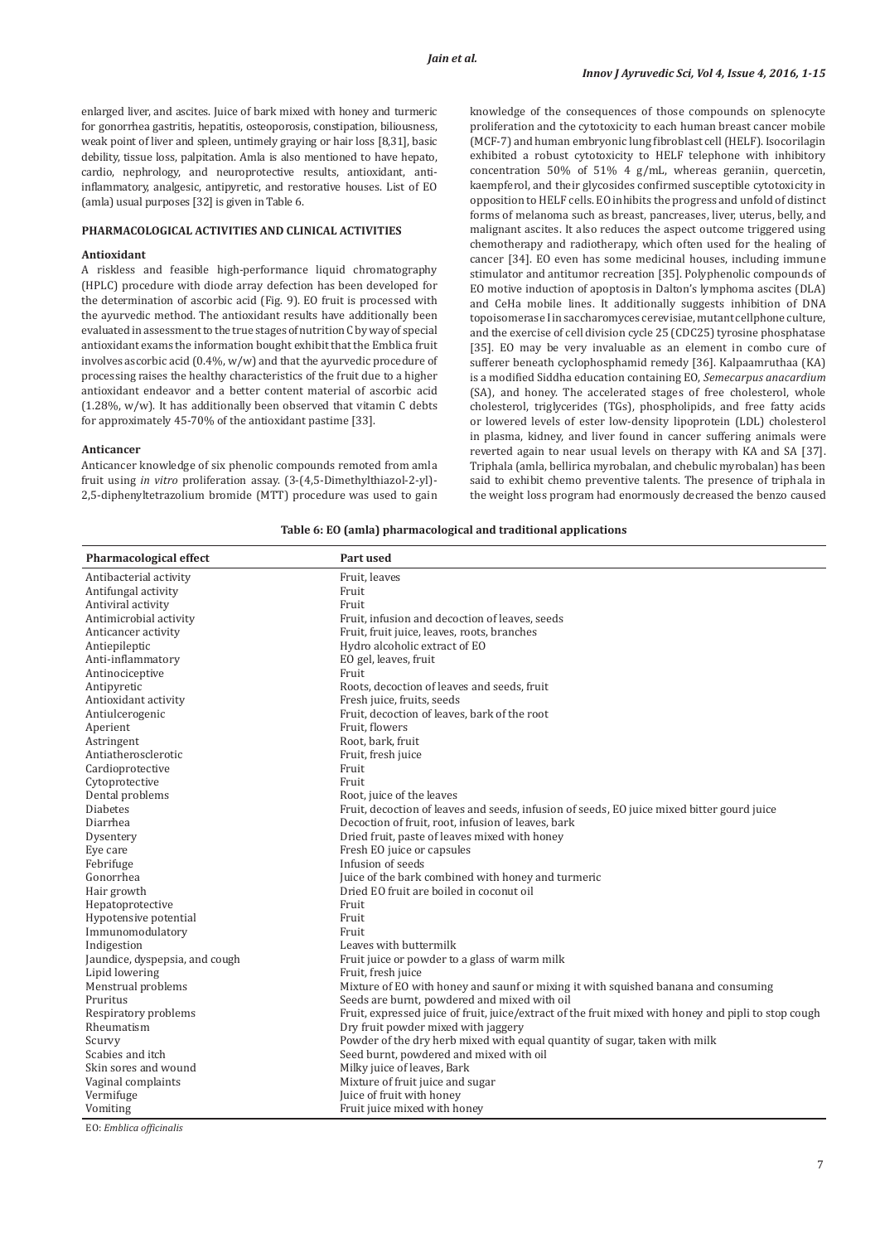enlarged liver, and ascites. Juice of bark mixed with honey and turmeric for gonorrhea gastritis, hepatitis, osteoporosis, constipation, biliousness, weak point of liver and spleen, untimely graying or hair loss [8,31], basic debility, tissue loss, palpitation. Amla is also mentioned to have hepato, cardio, nephrology, and neuroprotective results, antioxidant, antiinflammatory, analgesic, antipyretic, and restorative houses. List of EO (amla) usual purposes [32] is given in Table 6.

## **PHARMACOLOGICAL ACTIVITIES AND CLINICAL ACTIVITIES**

#### **Antioxidant**

A riskless and feasible high-performance liquid chromatography (HPLC) procedure with diode array defection has been developed for the determination of ascorbic acid (Fig. 9). EO fruit is processed with the ayurvedic method. The antioxidant results have additionally been evaluated in assessment to the true stages of nutrition C by way of special antioxidant exams the information bought exhibit that the Emblica fruit involves ascorbic acid (0.4%, w/w) and that the ayurvedic procedure of processing raises the healthy characteristics of the fruit due to a higher antioxidant endeavor and a better content material of ascorbic acid (1.28%, w/w). It has additionally been observed that vitamin C debts for approximately 45-70% of the antioxidant pastime [33].

#### **Anticancer**

Anticancer knowledge of six phenolic compounds remoted from amla fruit using *in vitro* proliferation assay. (3-(4,5-Dimethylthiazol-2-yl)- 2,5-diphenyltetrazolium bromide (MTT) procedure was used to gain knowledge of the consequences of those compounds on splenocyte proliferation and the cytotoxicity to each human breast cancer mobile (MCF-7) and human embryonic lung fibroblast cell (HELF). Isocorilagin exhibited a robust cytotoxicity to HELF telephone with inhibitory concentration 50% of 51% 4 g/mL, whereas geraniin, quercetin, kaempferol, and their glycosides confirmed susceptible cytotoxicity in opposition to HELF cells. EO inhibits the progress and unfold of distinct forms of melanoma such as breast, pancreases, liver, uterus, belly, and malignant ascites. It also reduces the aspect outcome triggered using chemotherapy and radiotherapy, which often used for the healing of cancer [34]. EO even has some medicinal houses, including immune stimulator and antitumor recreation [35]. Polyphenolic compounds of EO motive induction of apoptosis in Dalton's lymphoma ascites (DLA) and CeHa mobile lines. It additionally suggests inhibition of DNA topoisomerase I in saccharomyces cerevisiae, mutant cellphone culture, and the exercise of cell division cycle 25 (CDC25) tyrosine phosphatase [35]. EO may be very invaluable as an element in combo cure of sufferer beneath cyclophosphamid remedy [36]. Kalpaamruthaa (KA) is a modified Siddha education containing EO, *Semecarpus anacardium* (SA), and honey. The accelerated stages of free cholesterol, whole cholesterol, triglycerides (TGs), phospholipids, and free fatty acids or lowered levels of ester low-density lipoprotein (LDL) cholesterol in plasma, kidney, and liver found in cancer suffering animals were reverted again to near usual levels on therapy with KA and SA [37]. Triphala (amla, bellirica myrobalan, and chebulic myrobalan) has been said to exhibit chemo preventive talents. The presence of triphala in the weight loss program had enormously decreased the benzo caused

#### **Table 6: EO (amla) pharmacological and traditional applications**

| Pharmacological effect         | Part used                                                                                            |
|--------------------------------|------------------------------------------------------------------------------------------------------|
| Antibacterial activity         | Fruit, leaves                                                                                        |
| Antifungal activity            | Fruit                                                                                                |
| Antiviral activity             | Fruit                                                                                                |
| Antimicrobial activity         | Fruit, infusion and decoction of leaves, seeds                                                       |
| Anticancer activity            | Fruit, fruit juice, leaves, roots, branches                                                          |
| Antiepileptic                  | Hydro alcoholic extract of EO                                                                        |
| Anti-inflammatory              | EO gel, leaves, fruit                                                                                |
| Antinociceptive                | Fruit                                                                                                |
| Antipyretic                    | Roots, decoction of leaves and seeds, fruit                                                          |
| Antioxidant activity           | Fresh juice, fruits, seeds                                                                           |
| Antiulcerogenic                | Fruit, decoction of leaves, bark of the root                                                         |
| Aperient                       | Fruit, flowers                                                                                       |
| Astringent                     | Root, bark, fruit                                                                                    |
| Antiatherosclerotic            | Fruit, fresh juice                                                                                   |
| Cardioprotective               | Fruit                                                                                                |
| Cytoprotective                 | Fruit                                                                                                |
| Dental problems                | Root, juice of the leaves                                                                            |
| <b>Diabetes</b>                | Fruit, decoction of leaves and seeds, infusion of seeds, EO juice mixed bitter gourd juice           |
| Diarrhea                       | Decoction of fruit, root, infusion of leaves, bark                                                   |
| Dysentery                      | Dried fruit, paste of leaves mixed with honey                                                        |
| Eye care                       | Fresh EO juice or capsules                                                                           |
| Febrifuge                      | Infusion of seeds                                                                                    |
| Gonorrhea                      | Juice of the bark combined with honey and turmeric                                                   |
| Hair growth                    | Dried EO fruit are boiled in coconut oil                                                             |
| Hepatoprotective               | Fruit                                                                                                |
| Hypotensive potential          | Fruit                                                                                                |
| Immunomodulatory               | Fruit                                                                                                |
| Indigestion                    | Leaves with buttermilk                                                                               |
| Jaundice, dyspepsia, and cough | Fruit juice or powder to a glass of warm milk                                                        |
| Lipid lowering                 | Fruit, fresh juice                                                                                   |
| Menstrual problems             | Mixture of EO with honey and saunf or mixing it with squished banana and consuming                   |
| Pruritus                       | Seeds are burnt, powdered and mixed with oil                                                         |
| Respiratory problems           | Fruit, expressed juice of fruit, juice/extract of the fruit mixed with honey and pipli to stop cough |
| Rheumatism                     | Dry fruit powder mixed with jaggery                                                                  |
| Scurvy                         | Powder of the dry herb mixed with equal quantity of sugar, taken with milk                           |
| Scabies and itch               | Seed burnt, powdered and mixed with oil                                                              |
| Skin sores and wound           | Milky juice of leaves, Bark                                                                          |
| Vaginal complaints             | Mixture of fruit juice and sugar                                                                     |
| Vermifuge                      | Juice of fruit with honey                                                                            |
| Vomiting                       | Fruit juice mixed with honey                                                                         |

EO: *Emblica officinalis*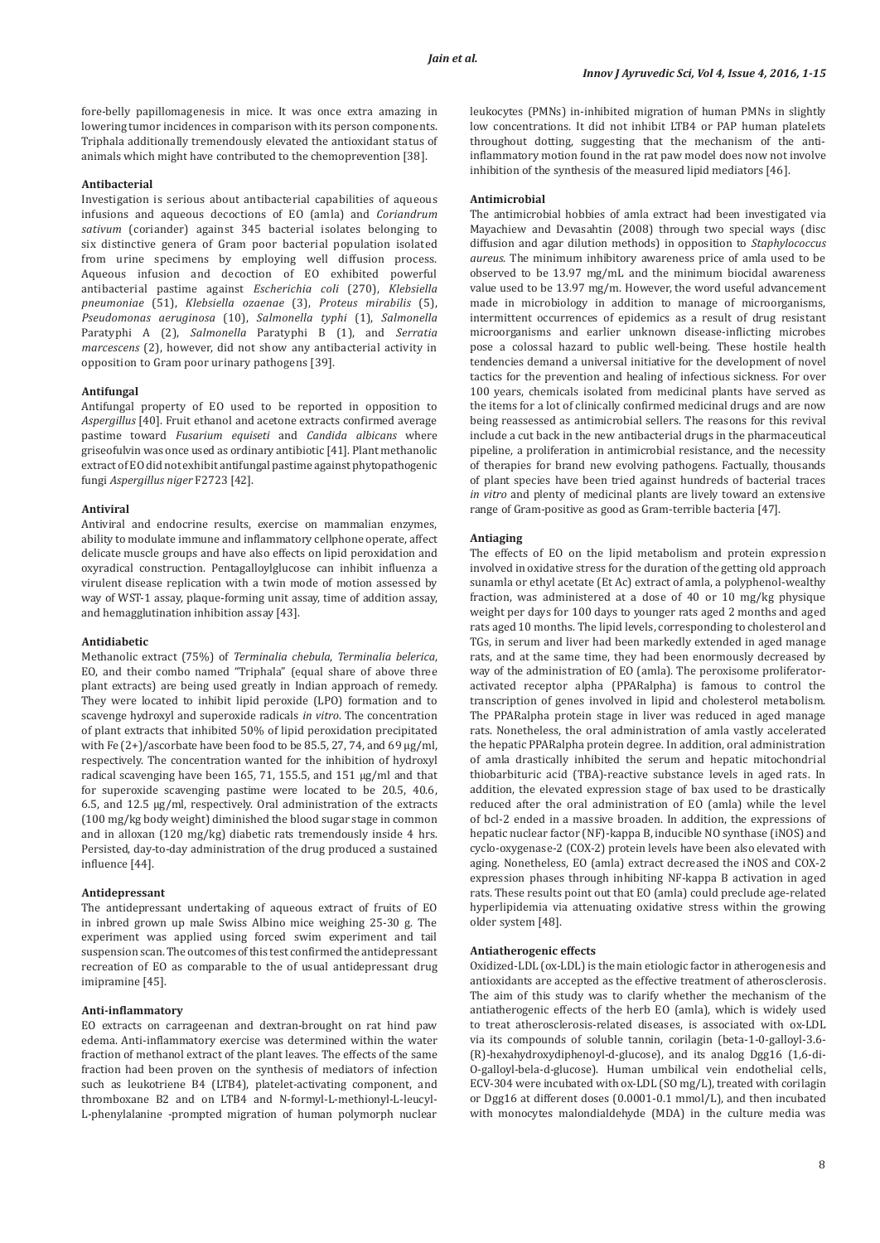fore-belly papillomagenesis in mice. It was once extra amazing in lowering tumor incidences in comparison with its person components. Triphala additionally tremendously elevated the antioxidant status of animals which might have contributed to the chemoprevention [38].

## **Antibacterial**

Investigation is serious about antibacterial capabilities of aqueous infusions and aqueous decoctions of EO (amla) and *Coriandrum sativum* (coriander) against 345 bacterial isolates belonging to six distinctive genera of Gram poor bacterial population isolated from urine specimens by employing well diffusion process. Aqueous infusion and decoction of EO exhibited powerful antibacterial pastime against *Escherichia coli* (270), *Klebsiella pneumoniae* (51), *Klebsiella ozaenae* (3), *Proteus mirabilis* (5), *Pseudomonas aeruginosa* (10), *Salmonella typhi* (1), *Salmonella* Paratyphi A (2), *Salmonella* Paratyphi B (1), and *Serratia marcescens* (2), however, did not show any antibacterial activity in opposition to Gram poor urinary pathogens [39].

#### **Antifungal**

Antifungal property of EO used to be reported in opposition to *Aspergillus* [40]. Fruit ethanol and acetone extracts confirmed average pastime toward *Fusarium equiseti* and *Candida albicans* where griseofulvin was once used as ordinary antibiotic [41]. Plant methanolic extract of EO did not exhibit antifungal pastime against phytopathogenic fungi *Aspergillus niger* F2723 [42].

## **Antiviral**

Antiviral and endocrine results, exercise on mammalian enzymes, ability to modulate immune and inflammatory cellphone operate, affect delicate muscle groups and have also effects on lipid peroxidation and oxyradical construction. Pentagalloylglucose can inhibit influenza a virulent disease replication with a twin mode of motion assessed by way of WST-1 assay, plaque-forming unit assay, time of addition assay, and hemagglutination inhibition assay [43].

## **Antidiabetic**

Methanolic extract (75%) of *Terminalia chebula*, *Terminalia belerica*, EO, and their combo named "Triphala" (equal share of above three plant extracts) are being used greatly in Indian approach of remedy. They were located to inhibit lipid peroxide (LPO) formation and to scavenge hydroxyl and superoxide radicals *in vitro*. The concentration of plant extracts that inhibited 50% of lipid peroxidation precipitated with Fe (2+)/ascorbate have been food to be 85.5, 27, 74, and 69 μg/ml, respectively. The concentration wanted for the inhibition of hydroxyl radical scavenging have been 165, 71, 155.5, and 151 μg/ml and that for superoxide scavenging pastime were located to be 20.5, 40.6, 6.5, and 12.5 μg/ml, respectively. Oral administration of the extracts (100 mg/kg body weight) diminished the blood sugar stage in common and in alloxan (120 mg/kg) diabetic rats tremendously inside 4 hrs. Persisted, day-to-day administration of the drug produced a sustained influence [44].

#### **Antidepressant**

The antidepressant undertaking of aqueous extract of fruits of EO in inbred grown up male Swiss Albino mice weighing 25-30 g. The experiment was applied using forced swim experiment and tail suspension scan. The outcomes of this test confirmed the antidepressant recreation of EO as comparable to the of usual antidepressant drug imipramine [45].

## **Anti-inflammatory**

EO extracts on carrageenan and dextran-brought on rat hind paw edema. Anti-inflammatory exercise was determined within the water fraction of methanol extract of the plant leaves. The effects of the same fraction had been proven on the synthesis of mediators of infection such as leukotriene B4 (LTB4), platelet-activating component, and thromboxane B2 and on LTB4 and N-formyl-L-methionyl-L-leucyl-L-phenylalanine -prompted migration of human polymorph nuclear leukocytes (PMNs) in-inhibited migration of human PMNs in slightly low concentrations. It did not inhibit LTB4 or PAP human platelets throughout dotting, suggesting that the mechanism of the antiinflammatory motion found in the rat paw model does now not involve inhibition of the synthesis of the measured lipid mediators [46].

#### **Antimicrobial**

The antimicrobial hobbies of amla extract had been investigated via Mayachiew and Devasahtin (2008) through two special ways (disc diffusion and agar dilution methods) in opposition to *Staphylococcus aureus*. The minimum inhibitory awareness price of amla used to be observed to be 13.97 mg/mL and the minimum biocidal awareness value used to be 13.97 mg/m. However, the word useful advancement made in microbiology in addition to manage of microorganisms, intermittent occurrences of epidemics as a result of drug resistant microorganisms and earlier unknown disease-inflicting microbes pose a colossal hazard to public well-being. These hostile health tendencies demand a universal initiative for the development of novel tactics for the prevention and healing of infectious sickness. For over 100 years, chemicals isolated from medicinal plants have served as the items for a lot of clinically confirmed medicinal drugs and are now being reassessed as antimicrobial sellers. The reasons for this revival include a cut back in the new antibacterial drugs in the pharmaceutical pipeline, a proliferation in antimicrobial resistance, and the necessity of therapies for brand new evolving pathogens. Factually, thousands of plant species have been tried against hundreds of bacterial traces *in vitro* and plenty of medicinal plants are lively toward an extensive range of Gram-positive as good as Gram-terrible bacteria [47].

## **Antiaging**

The effects of EO on the lipid metabolism and protein expression involved in oxidative stress for the duration of the getting old approach sunamla or ethyl acetate (Et Ac) extract of amla, a polyphenol-wealthy fraction, was administered at a dose of 40 or 10 mg/kg physique weight per days for 100 days to younger rats aged 2 months and aged rats aged 10 months. The lipid levels, corresponding to cholesterol and TGs, in serum and liver had been markedly extended in aged manage rats, and at the same time, they had been enormously decreased by way of the administration of EO (amla). The peroxisome proliferatoractivated receptor alpha (PPARalpha) is famous to control the transcription of genes involved in lipid and cholesterol metabolism. The PPARalpha protein stage in liver was reduced in aged manage rats. Nonetheless, the oral administration of amla vastly accelerated the hepatic PPARalpha protein degree. In addition, oral administration of amla drastically inhibited the serum and hepatic mitochondrial thiobarbituric acid (TBA)-reactive substance levels in aged rats. In addition, the elevated expression stage of bax used to be drastically reduced after the oral administration of EO (amla) while the level of bcl-2 ended in a massive broaden. In addition, the expressions of hepatic nuclear factor (NF)-kappa B, inducible NO synthase (iNOS) and cyclo-oxygenase-2 (COX-2) protein levels have been also elevated with aging. Nonetheless, EO (amla) extract decreased the iNOS and COX-2 expression phases through inhibiting NF-kappa B activation in aged rats. These results point out that EO (amla) could preclude age-related hyperlipidemia via attenuating oxidative stress within the growing older system [48].

#### **Antiatherogenic effects**

Oxidized-LDL (ox-LDL) is the main etiologic factor in atherogenesis and antioxidants are accepted as the effective treatment of atherosclerosis. The aim of this study was to clarify whether the mechanism of the antiatherogenic effects of the herb EO (amla), which is widely used to treat atherosclerosis-related diseases, is associated with ox-LDL via its compounds of soluble tannin, corilagin (beta-1-0-galloyl-3.6- (R)-hexahydroxydiphenoyl-d-glucose), and its analog Dgg16 (1,6-di-O-galloyl-bela-d-glucose). Human umbilical vein endothelial cells, ECV-304 were incubated with ox-LDL (SO mg/L), treated with corilagin or Dgg16 at different doses (0.0001-0.1 mmol/L), and then incubated with monocytes malondialdehyde (MDA) in the culture media was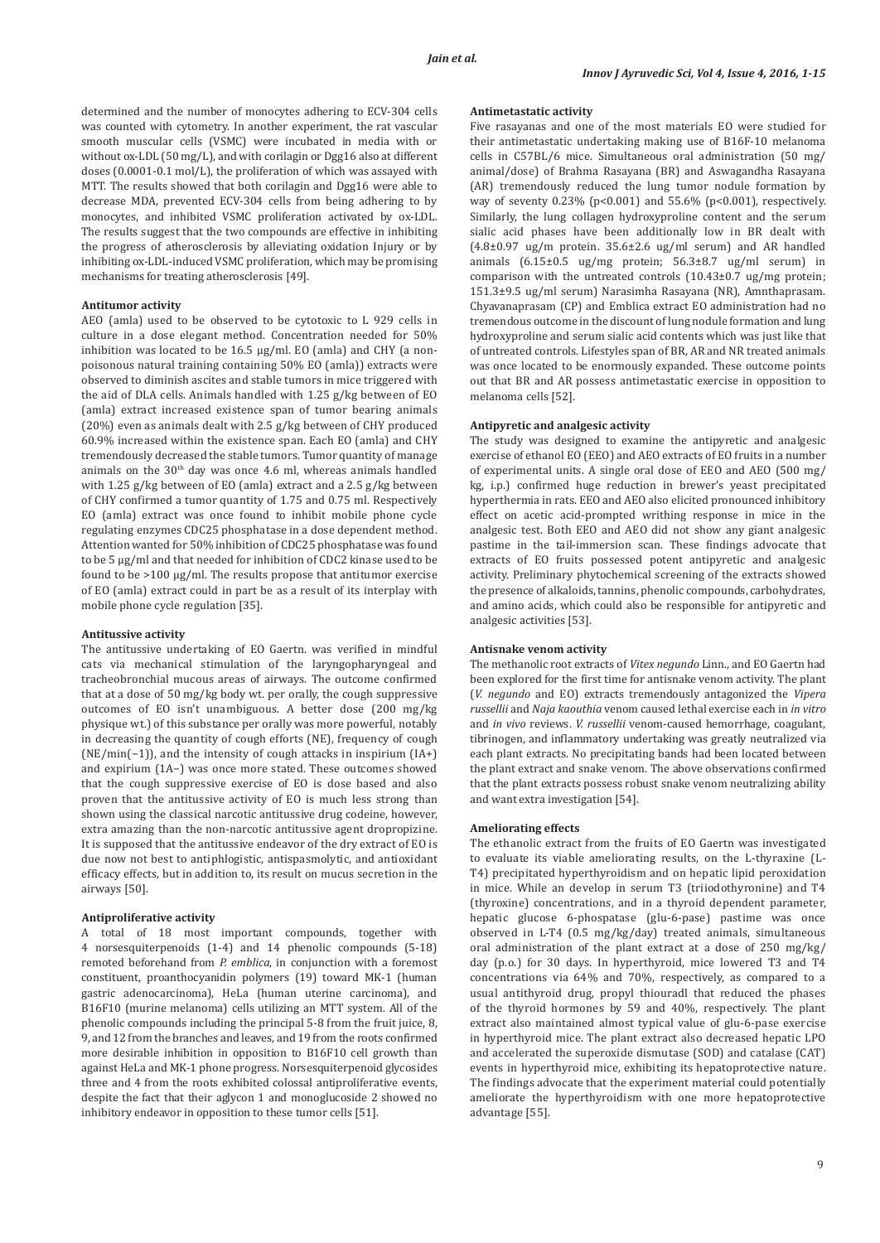determined and the number of monocytes adhering to ECV-304 cells was counted with cytometry. In another experiment, the rat vascular smooth muscular cells (VSMC) were incubated in media with or without ox-LDL (50 mg/L), and with corilagin or Dgg16 also at different doses (0.0001-0.1 mol/L), the proliferation of which was assayed with MTT. The results showed that both corilagin and Dgg16 were able to decrease MDA, prevented ECV-304 cells from being adhering to by monocytes, and inhibited VSMC proliferation activated by ox-LDL. The results suggest that the two compounds are effective in inhibiting the progress of atherosclerosis by alleviating oxidation Injury or by inhibiting ox-LDL-induced VSMC proliferation, which may be promising mechanisms for treating atherosclerosis [49].

## **Antitumor activity**

AEO (amla) used to be observed to be cytotoxic to L 929 cells in culture in a dose elegant method. Concentration needed for 50% inhibition was located to be 16.5 μg/ml. EO (amla) and CHY (a nonpoisonous natural training containing 50% EO (amla)) extracts were observed to diminish ascites and stable tumors in mice triggered with the aid of DLA cells. Animals handled with 1.25 g/kg between of EO (amla) extract increased existence span of tumor bearing animals (20%) even as animals dealt with 2.5 g/kg between of CHY produced 60.9% increased within the existence span. Each EO (amla) and CHY tremendously decreased the stable tumors. Tumor quantity of manage animals on the  $30<sup>th</sup>$  day was once 4.6 ml, whereas animals handled with 1.25 g/kg between of EO (amla) extract and a 2.5 g/kg between of CHY confirmed a tumor quantity of 1.75 and 0.75 ml. Respectively EO (amla) extract was once found to inhibit mobile phone cycle regulating enzymes CDC25 phosphatase in a dose dependent method. Attention wanted for 50% inhibition of CDC25 phosphatase was found to be 5 μg/ml and that needed for inhibition of CDC2 kinase used to be found to be >100 μg/ml. The results propose that antitumor exercise of EO (amla) extract could in part be as a result of its interplay with mobile phone cycle regulation [35].

## **Antitussive activity**

The antitussive undertaking of EO Gaertn. was verified in mindful cats via mechanical stimulation of the laryngopharyngeal and tracheobronchial mucous areas of airways. The outcome confirmed that at a dose of 50 mg/kg body wt. per orally, the cough suppressive outcomes of EO isn't unambiguous. A better dose (200 mg/kg physique wt.) of this substance per orally was more powerful, notably in decreasing the quantity of cough efforts (NE), frequency of cough (NE/min(−1)), and the intensity of cough attacks in inspirium (IA+) and expirium (1A−) was once more stated. These outcomes showed that the cough suppressive exercise of EO is dose based and also proven that the antitussive activity of EO is much less strong than shown using the classical narcotic antitussive drug codeine, however, extra amazing than the non-narcotic antitussive agent dropropizine. It is supposed that the antitussive endeavor of the dry extract of EO is due now not best to antiphlogistic, antispasmolytic, and antioxidant efficacy effects, but in addition to, its result on mucus secretion in the airways [50].

#### **Antiproliferative activity**

A total of 18 most important compounds, together with 4 norsesquiterpenoids (1-4) and 14 phenolic compounds (5-18) remoted beforehand from *P. emblica*, in conjunction with a foremost constituent, proanthocyanidin polymers (19) toward MK-1 (human gastric adenocarcinoma), HeLa (human uterine carcinoma), and B16F10 (murine melanoma) cells utilizing an MTT system. All of the phenolic compounds including the principal 5-8 from the fruit juice, 8, 9, and 12 from the branches and leaves, and 19 from the roots confirmed more desirable inhibition in opposition to B16F10 cell growth than against HeLa and MK-1 phone progress. Norsesquiterpenoid glycosides three and 4 from the roots exhibited colossal antiproliferative events, despite the fact that their aglycon 1 and monoglucoside 2 showed no inhibitory endeavor in opposition to these tumor cells [51].

## **Antimetastatic activity**

Five rasayanas and one of the most materials EO were studied for their antimetastatic undertaking making use of B16F-10 melanoma cells in C57BL/6 mice. Simultaneous oral administration (50 mg/ animal/dose) of Brahma Rasayana (BR) and Aswagandha Rasayana (AR) tremendously reduced the lung tumor nodule formation by way of seventy 0.23% (p<0.001) and 55.6% (p<0.001), respectively. Similarly, the lung collagen hydroxyproline content and the serum sialic acid phases have been additionally low in BR dealt with (4.8±0.97 ug/m protein. 35.6±2.6 ug/ml serum) and AR handled animals (6.15±0.5 ug/mg protein; 56.3±8.7 ug/ml serum) in comparison with the untreated controls (10.43±0.7 ug/mg protein; 151.3±9.5 ug/ml serum) Narasimha Rasayana (NR), Amnthaprasam. Chyavanaprasam (CP) and Emblica extract EO administration had no tremendous outcome in the discount of lung nodule formation and lung hydroxyproline and serum sialic acid contents which was just like that of untreated controls. Lifestyles span of BR, AR and NR treated animals was once located to be enormously expanded. These outcome points out that BR and AR possess antimetastatic exercise in opposition to melanoma cells [52].

## **Antipyretic and analgesic activity**

The study was designed to examine the antipyretic and analgesic exercise of ethanol EO (EEO) and AEO extracts of EO fruits in a number of experimental units. A single oral dose of EEO and AEO (500 mg/ kg, i.p.) confirmed huge reduction in brewer's yeast precipitated hyperthermia in rats. EEO and AEO also elicited pronounced inhibitory effect on acetic acid-prompted writhing response in mice in the analgesic test. Both EEO and AEO did not show any giant analgesic pastime in the tail-immersion scan. These findings advocate that extracts of EO fruits possessed potent antipyretic and analgesic activity. Preliminary phytochemical screening of the extracts showed the presence of alkaloids, tannins, phenolic compounds, carbohydrates, and amino acids, which could also be responsible for antipyretic and analgesic activities [53].

#### **Antisnake venom activity**

The methanolic root extracts of *Vitex negundo* Linn., and EO Gaertn had been explored for the first time for antisnake venom activity. The plant (*V. negundo* and EO) extracts tremendously antagonized the *Vipera russellii* and *Naja kaouthia* venom caused lethal exercise each in *in vitro* and *in vivo* reviews. *V. russellii* venom-caused hemorrhage, coagulant, tibrinogen, and inflammatory undertaking was greatly neutralized via each plant extracts. No precipitating bands had been located between the plant extract and snake venom. The above observations confirmed that the plant extracts possess robust snake venom neutralizing ability and want extra investigation [54].

#### **Ameliorating effects**

The ethanolic extract from the fruits of EO Gaertn was investigated to evaluate its viable ameliorating results, on the L-thyraxine (L-T4) precipitated hyperthyroidism and on hepatic lipid peroxidation in mice. While an develop in serum T3 (triiodothyronine) and T4 (thyroxine) concentrations, and in a thyroid dependent parameter, hepatic glucose 6-phospatase (glu-6-pase) pastime was once observed in L-T4 (0.5 mg/kg/day) treated animals, simultaneous oral administration of the plant extract at a dose of 250 mg/kg/ day (p.o.) for 30 days. In hyperthyroid, mice lowered T3 and T4 concentrations via 64% and 70%, respectively, as compared to a usual antithyroid drug, propyl thiouradl that reduced the phases of the thyroid hormones by 59 and 40%, respectively. The plant extract also maintained almost typical value of glu-6-pase exercise in hyperthyroid mice. The plant extract also decreased hepatic LPO and accelerated the superoxide dismutase (SOD) and catalase (CAT) events in hyperthyroid mice, exhibiting its hepatoprotective nature. The findings advocate that the experiment material could potentially ameliorate the hyperthyroidism with one more hepatoprotective advantage [55].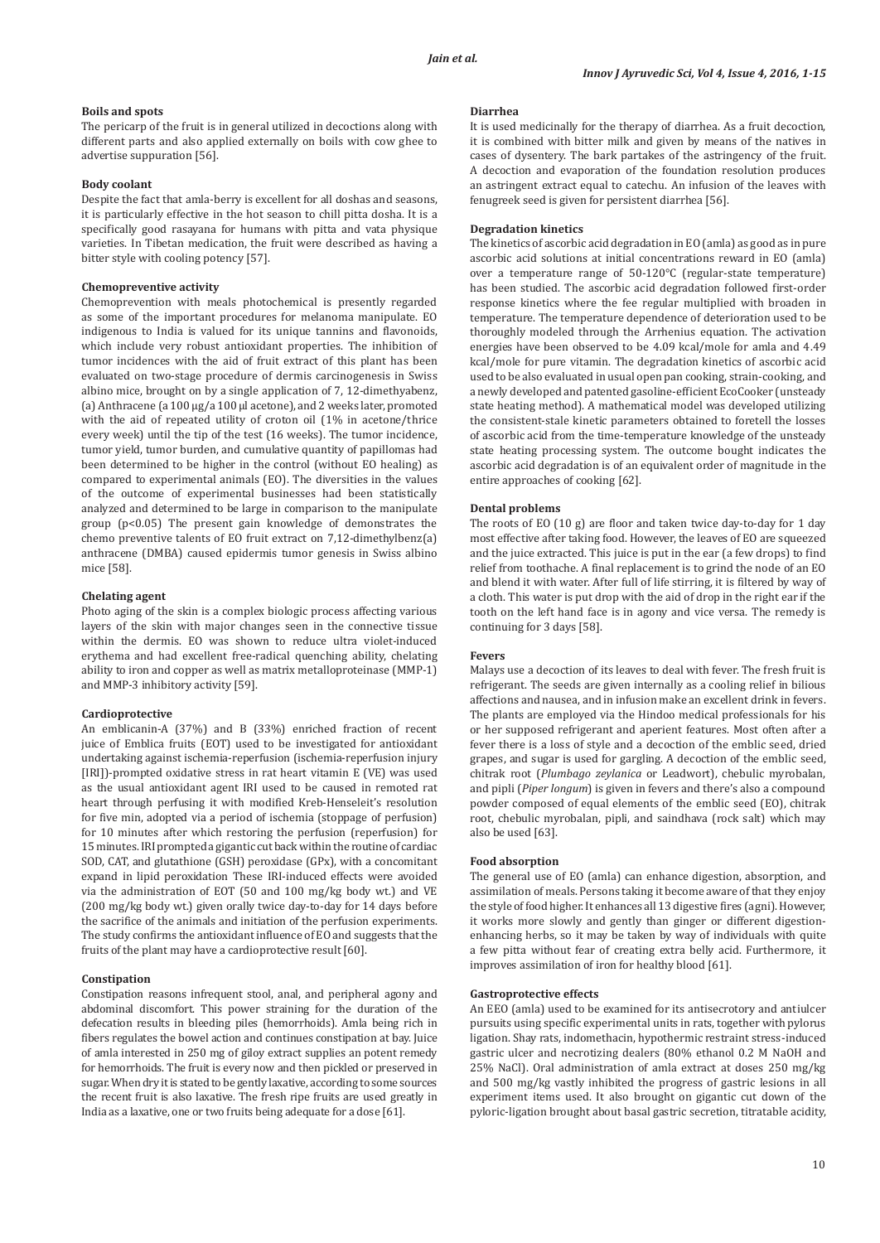#### **Boils and spots**

The pericarp of the fruit is in general utilized in decoctions along with different parts and also applied externally on boils with cow ghee to advertise suppuration [56].

## **Body coolant**

Despite the fact that amla-berry is excellent for all doshas and seasons, it is particularly effective in the hot season to chill pitta dosha. It is a specifically good rasayana for humans with pitta and vata physique varieties. In Tibetan medication, the fruit were described as having a bitter style with cooling potency [57].

## **Chemopreventive activity**

Chemoprevention with meals photochemical is presently regarded as some of the important procedures for melanoma manipulate. EO indigenous to India is valued for its unique tannins and flavonoids, which include very robust antioxidant properties. The inhibition of tumor incidences with the aid of fruit extract of this plant has been evaluated on two-stage procedure of dermis carcinogenesis in Swiss albino mice, brought on by a single application of 7, 12-dimethyabenz, (a) Anthracene (a 100 μg/a 100 μl acetone), and 2 weeks later, promoted with the aid of repeated utility of croton oil (1% in acetone/thrice every week) until the tip of the test (16 weeks). The tumor incidence, tumor yield, tumor burden, and cumulative quantity of papillomas had been determined to be higher in the control (without EO healing) as compared to experimental animals (EO). The diversities in the values of the outcome of experimental businesses had been statistically analyzed and determined to be large in comparison to the manipulate group (p<0.05) The present gain knowledge of demonstrates the chemo preventive talents of EO fruit extract on 7,12-dimethylbenz(a) anthracene (DMBA) caused epidermis tumor genesis in Swiss albino mice [58].

## **Chelating agent**

Photo aging of the skin is a complex biologic process affecting various layers of the skin with major changes seen in the connective tissue within the dermis. EO was shown to reduce ultra violet-induced erythema and had excellent free-radical quenching ability, chelating ability to iron and copper as well as matrix metalloproteinase (MMP-1) and MMP-3 inhibitory activity [59].

#### **Cardioprotective**

An emblicanin-A (37%) and B (33%) enriched fraction of recent juice of Emblica fruits (EOT) used to be investigated for antioxidant undertaking against ischemia-reperfusion (ischemia-reperfusion injury [IRI])-prompted oxidative stress in rat heart vitamin E (VE) was used as the usual antioxidant agent IRI used to be caused in remoted rat heart through perfusing it with modified Kreb-Henseleit's resolution for five min, adopted via a period of ischemia (stoppage of perfusion) for 10 minutes after which restoring the perfusion (reperfusion) for 15 minutes. IRI prompted a gigantic cut back within the routine of cardiac SOD, CAT, and glutathione (GSH) peroxidase (GPx), with a concomitant expand in lipid peroxidation These IRI-induced effects were avoided via the administration of EOT (50 and 100 mg/kg body wt.) and VE (200 mg/kg body wt.) given orally twice day-to-day for 14 days before the sacrifice of the animals and initiation of the perfusion experiments. The study confirms the antioxidant influence of EO and suggests that the fruits of the plant may have a cardioprotective result [60].

## **Constipation**

Constipation reasons infrequent stool, anal, and peripheral agony and abdominal discomfort. This power straining for the duration of the defecation results in bleeding piles (hemorrhoids). Amla being rich in fibers regulates the bowel action and continues constipation at bay. Juice of amla interested in 250 mg of giloy extract supplies an potent remedy for hemorrhoids. The fruit is every now and then pickled or preserved in sugar. When dry it is stated to be gently laxative, according to some sources the recent fruit is also laxative. The fresh ripe fruits are used greatly in India as a laxative, one or two fruits being adequate for a dose [61].

#### **Diarrhea**

It is used medicinally for the therapy of diarrhea. As a fruit decoction, it is combined with bitter milk and given by means of the natives in cases of dysentery. The bark partakes of the astringency of the fruit. A decoction and evaporation of the foundation resolution produces an astringent extract equal to catechu. An infusion of the leaves with fenugreek seed is given for persistent diarrhea [56].

### **Degradation kinetics**

The kinetics of ascorbic acid degradation in EO (amla) as good as in pure ascorbic acid solutions at initial concentrations reward in EO (amla) over a temperature range of 50-120°C (regular-state temperature) has been studied. The ascorbic acid degradation followed first-order response kinetics where the fee regular multiplied with broaden in temperature. The temperature dependence of deterioration used to be thoroughly modeled through the Arrhenius equation. The activation energies have been observed to be 4.09 kcal/mole for amla and 4.49 kcal/mole for pure vitamin. The degradation kinetics of ascorbic acid used to be also evaluated in usual open pan cooking, strain-cooking, and a newly developed and patented gasoline-efficient EcoCooker (unsteady state heating method). A mathematical model was developed utilizing the consistent-stale kinetic parameters obtained to foretell the losses of ascorbic acid from the time-temperature knowledge of the unsteady state heating processing system. The outcome bought indicates the ascorbic acid degradation is of an equivalent order of magnitude in the entire approaches of cooking [62].

### **Dental problems**

The roots of EO (10 g) are floor and taken twice day-to-day for 1 day most effective after taking food. However, the leaves of EO are squeezed and the juice extracted. This juice is put in the ear (a few drops) to find relief from toothache. A final replacement is to grind the node of an EO and blend it with water. After full of life stirring, it is filtered by way of a cloth. This water is put drop with the aid of drop in the right ear if the tooth on the left hand face is in agony and vice versa. The remedy is continuing for 3 days [58].

### **Fevers**

Malays use a decoction of its leaves to deal with fever. The fresh fruit is refrigerant. The seeds are given internally as a cooling relief in bilious affections and nausea, and in infusion make an excellent drink in fevers. The plants are employed via the Hindoo medical professionals for his or her supposed refrigerant and aperient features. Most often after a fever there is a loss of style and a decoction of the emblic seed, dried grapes, and sugar is used for gargling. A decoction of the emblic seed, chitrak root (*Plumbago zeylanica* or Leadwort), chebulic myrobalan, and pipli (*Piper longum*) is given in fevers and there's also a compound powder composed of equal elements of the emblic seed (EO), chitrak root, chebulic myrobalan, pipli, and saindhava (rock salt) which may also be used [63].

## **Food absorption**

The general use of EO (amla) can enhance digestion, absorption, and assimilation of meals. Persons taking it become aware of that they enjoy the style of food higher. It enhances all 13 digestive fires (agni). However, it works more slowly and gently than ginger or different digestionenhancing herbs, so it may be taken by way of individuals with quite a few pitta without fear of creating extra belly acid. Furthermore, it improves assimilation of iron for healthy blood [61].

### **Gastroprotective effects**

An EEO (amla) used to be examined for its antisecrotory and antiulcer pursuits using specific experimental units in rats, together with pylorus ligation. Shay rats, indomethacin, hypothermic restraint stress-induced gastric ulcer and necrotizing dealers (80% ethanol 0.2 M NaOH and 25% NaCl). Oral administration of amla extract at doses 250 mg/kg and 500 mg/kg vastly inhibited the progress of gastric lesions in all experiment items used. It also brought on gigantic cut down of the pyloric-ligation brought about basal gastric secretion, titratable acidity,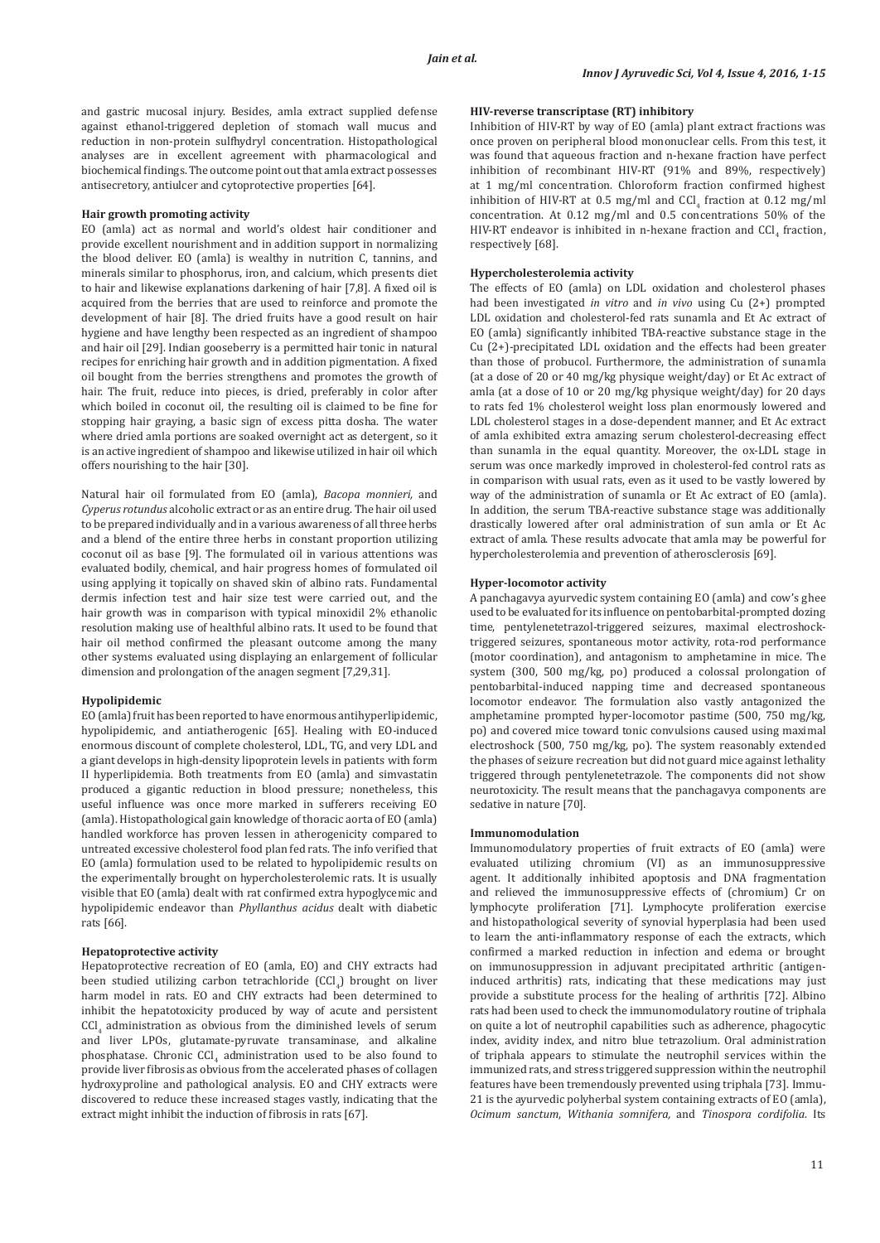and gastric mucosal injury. Besides, amla extract supplied defense against ethanol-triggered depletion of stomach wall mucus and reduction in non-protein sulfhydryl concentration. Histopathological analyses are in excellent agreement with pharmacological and biochemical findings. The outcome point out that amla extract possesses antisecretory, antiulcer and cytoprotective properties [64].

## **Hair growth promoting activity**

EO (amla) act as normal and world's oldest hair conditioner and provide excellent nourishment and in addition support in normalizing the blood deliver. EO (amla) is wealthy in nutrition C, tannins, and minerals similar to phosphorus, iron, and calcium, which presents diet to hair and likewise explanations darkening of hair [7,8]. A fixed oil is acquired from the berries that are used to reinforce and promote the development of hair [8]. The dried fruits have a good result on hair hygiene and have lengthy been respected as an ingredient of shampoo and hair oil [29]. Indian gooseberry is a permitted hair tonic in natural recipes for enriching hair growth and in addition pigmentation. A fixed oil bought from the berries strengthens and promotes the growth of hair. The fruit, reduce into pieces, is dried, preferably in color after which boiled in coconut oil, the resulting oil is claimed to be fine for stopping hair graying, a basic sign of excess pitta dosha. The water where dried amla portions are soaked overnight act as detergent, so it is an active ingredient of shampoo and likewise utilized in hair oil which offers nourishing to the hair [30].

Natural hair oil formulated from EO (amla), *Bacopa monnieri,* and *Cyperus rotundus* alcoholic extract or as an entire drug. The hair oil used to be prepared individually and in a various awareness of all three herbs and a blend of the entire three herbs in constant proportion utilizing coconut oil as base [9]. The formulated oil in various attentions was evaluated bodily, chemical, and hair progress homes of formulated oil using applying it topically on shaved skin of albino rats. Fundamental dermis infection test and hair size test were carried out, and the hair growth was in comparison with typical minoxidil 2% ethanolic resolution making use of healthful albino rats. It used to be found that hair oil method confirmed the pleasant outcome among the many other systems evaluated using displaying an enlargement of follicular dimension and prolongation of the anagen segment [7,29,31].

## **Hypolipidemic**

EO (amla) fruit has been reported to have enormous antihyperlipidemic, hypolipidemic, and antiatherogenic [65]. Healing with EO-induced enormous discount of complete cholesterol, LDL, TG, and very LDL and a giant develops in high-density lipoprotein levels in patients with form II hyperlipidemia. Both treatments from EO (amla) and simvastatin produced a gigantic reduction in blood pressure; nonetheless, this useful influence was once more marked in sufferers receiving EO (amla). Histopathological gain knowledge of thoracic aorta of EO (amla) handled workforce has proven lessen in atherogenicity compared to untreated excessive cholesterol food plan fed rats. The info verified that EO (amla) formulation used to be related to hypolipidemic results on the experimentally brought on hypercholesterolemic rats. It is usually visible that EO (amla) dealt with rat confirmed extra hypoglycemic and hypolipidemic endeavor than *Phyllanthus acidus* dealt with diabetic rats [66].

#### **Hepatoprotective activity**

Hepatoprotective recreation of EO (amla, EO) and CHY extracts had been studied utilizing carbon tetrachloride  $\left[\textrm{CCl}_{4}\right]$  brought on liver harm model in rats. EO and CHY extracts had been determined to inhibit the hepatotoxicity produced by way of acute and persistent  $\text{CCl}_4$  administration as obvious from the diminished levels of serum and liver LPOs, glutamate-pyruvate transaminase, and alkaline phosphatase. Chronic  $\text{CCI}_4$  administration used to be also found to provide liver fibrosis as obvious from the accelerated phases of collagen hydroxyproline and pathological analysis. EO and CHY extracts were discovered to reduce these increased stages vastly, indicating that the extract might inhibit the induction of fibrosis in rats [67].

## **HIV-reverse transcriptase (RT) inhibitory**

Inhibition of HIV-RT by way of EO (amla) plant extract fractions was once proven on peripheral blood mononuclear cells. From this test, it was found that aqueous fraction and n-hexane fraction have perfect inhibition of recombinant HIV-RT (91% and 89%, respectively) at 1 mg/ml concentration. Chloroform fraction confirmed highest inhibition of HIV-RT at 0.5 mg/ml and  $\text{CCl}_4$  fraction at 0.12 mg/ml concentration. At 0.12 mg/ml and 0.5 concentrations 50% of the HIV-RT endeavor is inhibited in n-hexane fraction and  $\text{CCI}_4$  fraction, respectively [68].

## **Hypercholesterolemia activity**

The effects of EO (amla) on LDL oxidation and cholesterol phases had been investigated *in vitro* and *in vivo* using Cu (2+) prompted LDL oxidation and cholesterol-fed rats sunamla and Et Ac extract of EO (amla) significantly inhibited TBA-reactive substance stage in the Cu (2+)-precipitated LDL oxidation and the effects had been greater than those of probucol. Furthermore, the administration of sunamla (at a dose of 20 or 40 mg/kg physique weight/day) or Et Ac extract of amla (at a dose of 10 or 20 mg/kg physique weight/day) for 20 days to rats fed 1% cholesterol weight loss plan enormously lowered and LDL cholesterol stages in a dose-dependent manner, and Et Ac extract of amla exhibited extra amazing serum cholesterol-decreasing effect than sunamla in the equal quantity. Moreover, the ox-LDL stage in serum was once markedly improved in cholesterol-fed control rats as in comparison with usual rats, even as it used to be vastly lowered by way of the administration of sunamla or Et Ac extract of EO (amla). In addition, the serum TBA-reactive substance stage was additionally drastically lowered after oral administration of sun amla or Et Ac extract of amla. These results advocate that amla may be powerful for hypercholesterolemia and prevention of atherosclerosis [69].

#### **Hyper-locomotor activity**

A panchagavya ayurvedic system containing EO (amla) and cow's ghee used to be evaluated for its influence on pentobarbital-prompted dozing time, pentylenetetrazol-triggered seizures, maximal electroshocktriggered seizures, spontaneous motor activity, rota-rod performance (motor coordination), and antagonism to amphetamine in mice. The system (300, 500 mg/kg, po) produced a colossal prolongation of pentobarbital-induced napping time and decreased spontaneous locomotor endeavor. The formulation also vastly antagonized the amphetamine prompted hyper-locomotor pastime (500, 750 mg/kg, po) and covered mice toward tonic convulsions caused using maximal electroshock (500, 750 mg/kg, po). The system reasonably extended the phases of seizure recreation but did not guard mice against lethality triggered through pentylenetetrazole. The components did not show neurotoxicity. The result means that the panchagavya components are sedative in nature [70].

#### **Immunomodulation**

Immunomodulatory properties of fruit extracts of EO (amla) were evaluated utilizing chromium (VI) as an immunosuppressive agent. It additionally inhibited apoptosis and DNA fragmentation and relieved the immunosuppressive effects of (chromium) Cr on lymphocyte proliferation [71]. Lymphocyte proliferation exercise and histopathological severity of synovial hyperplasia had been used to learn the anti-inflammatory response of each the extracts, which confirmed a marked reduction in infection and edema or brought on immunosuppression in adjuvant precipitated arthritic (antigeninduced arthritis) rats, indicating that these medications may just provide a substitute process for the healing of arthritis [72]. Albino rats had been used to check the immunomodulatory routine of triphala on quite a lot of neutrophil capabilities such as adherence, phagocytic index, avidity index, and nitro blue tetrazolium. Oral administration of triphala appears to stimulate the neutrophil services within the immunized rats, and stress triggered suppression within the neutrophil features have been tremendously prevented using triphala [73]. Immu-21 is the ayurvedic polyherbal system containing extracts of EO (amla), *Ocimum sanctum*, *Withania somnifera,* and *Tinospora cordifolia*. Its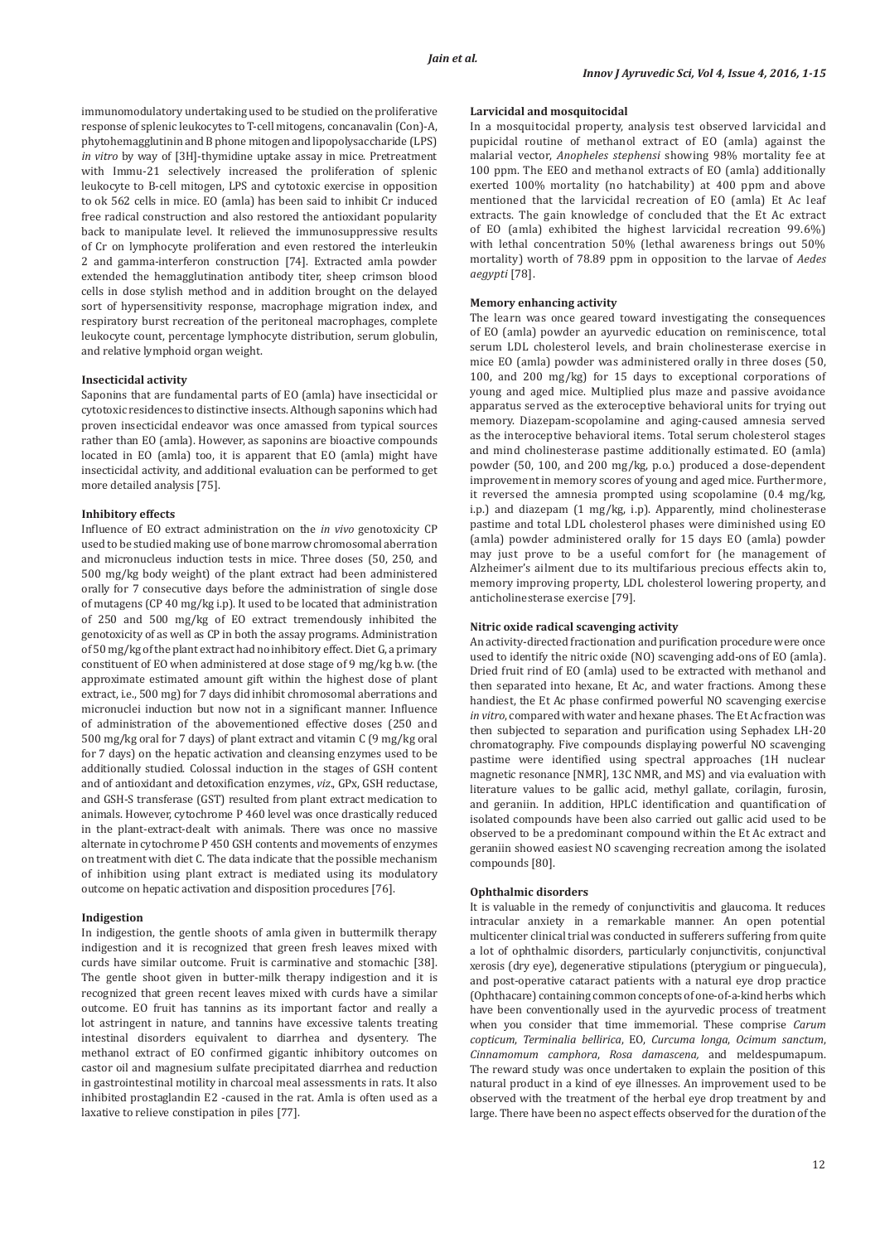immunomodulatory undertaking used to be studied on the proliferative response of splenic leukocytes to T-cell mitogens, concanavalin (Con)-A, phytohemagglutinin and B phone mitogen and lipopolysaccharide (LPS) *in vitro* by way of [3H]-thymidine uptake assay in mice. Pretreatment with Immu-21 selectively increased the proliferation of splenic leukocyte to B-cell mitogen, LPS and cytotoxic exercise in opposition to ok 562 cells in mice. EO (amla) has been said to inhibit Cr induced free radical construction and also restored the antioxidant popularity back to manipulate level. It relieved the immunosuppressive results of Cr on lymphocyte proliferation and even restored the interleukin 2 and gamma-interferon construction [74]. Extracted amla powder extended the hemagglutination antibody titer, sheep crimson blood cells in dose stylish method and in addition brought on the delayed sort of hypersensitivity response, macrophage migration index, and respiratory burst recreation of the peritoneal macrophages, complete leukocyte count, percentage lymphocyte distribution, serum globulin, and relative lymphoid organ weight.

## **Insecticidal activity**

Saponins that are fundamental parts of EO (amla) have insecticidal or cytotoxic residences to distinctive insects. Although saponins which had proven insecticidal endeavor was once amassed from typical sources rather than EO (amla). However, as saponins are bioactive compounds located in EO (amla) too, it is apparent that EO (amla) might have insecticidal activity, and additional evaluation can be performed to get more detailed analysis [75].

## **Inhibitory effects**

Influence of EO extract administration on the *in vivo* genotoxicity CP used to be studied making use of bone marrow chromosomal aberration and micronucleus induction tests in mice. Three doses (50, 250, and 500 mg/kg body weight) of the plant extract had been administered orally for 7 consecutive days before the administration of single dose of mutagens (CP 40 mg/kg i.p). It used to be located that administration of 250 and 500 mg/kg of EO extract tremendously inhibited the genotoxicity of as well as CP in both the assay programs. Administration of 50 mg/kg of the plant extract had no inhibitory effect. Diet G, a primary constituent of EO when administered at dose stage of 9 mg/kg b.w. (the approximate estimated amount gift within the highest dose of plant extract, i.e., 500 mg) for 7 days did inhibit chromosomal aberrations and micronuclei induction but now not in a significant manner. Influence of administration of the abovementioned effective doses (250 and 500 mg/kg oral for 7 days) of plant extract and vitamin C (9 mg/kg oral for 7 days) on the hepatic activation and cleansing enzymes used to be additionally studied. Colossal induction in the stages of GSH content and of antioxidant and detoxification enzymes, *viz*., GPx, GSH reductase, and GSH-S transferase (GST) resulted from plant extract medication to animals. However, cytochrome P 460 level was once drastically reduced in the plant-extract-dealt with animals. There was once no massive alternate in cytochrome P 450 GSH contents and movements of enzymes on treatment with diet C. The data indicate that the possible mechanism of inhibition using plant extract is mediated using its modulatory outcome on hepatic activation and disposition procedures [76].

### **Indigestion**

In indigestion, the gentle shoots of amla given in buttermilk therapy indigestion and it is recognized that green fresh leaves mixed with curds have similar outcome. Fruit is carminative and stomachic [38]. The gentle shoot given in butter-milk therapy indigestion and it is recognized that green recent leaves mixed with curds have a similar outcome. EO fruit has tannins as its important factor and really a lot astringent in nature, and tannins have excessive talents treating intestinal disorders equivalent to diarrhea and dysentery. The methanol extract of EO confirmed gigantic inhibitory outcomes on castor oil and magnesium sulfate precipitated diarrhea and reduction in gastrointestinal motility in charcoal meal assessments in rats. It also inhibited prostaglandin E2 -caused in the rat. Amla is often used as a laxative to relieve constipation in piles [77].

### **Larvicidal and mosquitocidal**

In a mosquitocidal property, analysis test observed larvicidal and pupicidal routine of methanol extract of EO (amla) against the malarial vector, *Anopheles stephensi* showing 98% mortality fee at 100 ppm. The EEO and methanol extracts of EO (amla) additionally exerted 100% mortality (no hatchability) at 400 ppm and above mentioned that the larvicidal recreation of EO (amla) Et Ac leaf extracts. The gain knowledge of concluded that the Et Ac extract of EO (amla) exhibited the highest larvicidal recreation 99.6%) with lethal concentration 50% (lethal awareness brings out 50% mortality) worth of 78.89 ppm in opposition to the larvae of *Aedes aegypti* [78].

## **Memory enhancing activity**

The learn was once geared toward investigating the consequences of EO (amla) powder an ayurvedic education on reminiscence, total serum LDL cholesterol levels, and brain cholinesterase exercise in mice EO (amla) powder was administered orally in three doses (50, 100, and 200 mg/kg) for 15 days to exceptional corporations of young and aged mice. Multiplied plus maze and passive avoidance apparatus served as the exteroceptive behavioral units for trying out memory. Diazepam-scopolamine and aging-caused amnesia served as the interoceptive behavioral items. Total serum cholesterol stages and mind cholinesterase pastime additionally estimated. EO (amla) powder (50, 100, and 200 mg/kg, p.o.) produced a dose-dependent improvement in memory scores of young and aged mice. Furthermore, it reversed the amnesia prompted using scopolamine (0.4 mg/kg, i.p.) and diazepam (1 mg/kg, i.p). Apparently, mind cholinesterase pastime and total LDL cholesterol phases were diminished using EO (amla) powder administered orally for 15 days EO (amla) powder may just prove to be a useful comfort for (he management of Alzheimer's ailment due to its multifarious precious effects akin to, memory improving property, LDL cholesterol lowering property, and anticholinesterase exercise [79].

## **Nitric oxide radical scavenging activity**

An activity-directed fractionation and purification procedure were once used to identify the nitric oxide (NO) scavenging add-ons of EO (amla). Dried fruit rind of EO (amla) used to be extracted with methanol and then separated into hexane, Et Ac, and water fractions. Among these handiest, the Et Ac phase confirmed powerful NO scavenging exercise *in vitro*, compared with water and hexane phases. The Et Ac fraction was then subjected to separation and purification using Sephadex LH-20 chromatography. Five compounds displaying powerful NO scavenging pastime were identified using spectral approaches (1H nuclear magnetic resonance [NMR], 13C NMR, and MS) and via evaluation with literature values to be gallic acid, methyl gallate, corilagin, furosin, and geraniin. In addition, HPLC identification and quantification of isolated compounds have been also carried out gallic acid used to be observed to be a predominant compound within the Et Ac extract and geraniin showed easiest NO scavenging recreation among the isolated compounds [80].

#### **Ophthalmic disorders**

It is valuable in the remedy of conjunctivitis and glaucoma. It reduces intracular anxiety in a remarkable manner. An open potential multicenter clinical trial was conducted in sufferers suffering from quite a lot of ophthalmic disorders, particularly conjunctivitis, conjunctival xerosis (dry eye), degenerative stipulations (pterygium or pinguecula), and post-operative cataract patients with a natural eye drop practice (Ophthacare) containing common concepts of one-of-a-kind herbs which have been conventionally used in the ayurvedic process of treatment when you consider that time immemorial. These comprise *Carum copticum*, *Terminalia bellirica*, EO, *Curcuma longa*, *Ocimum sanctum*, *Cinnamomum camphora*, *Rosa damascena,* and meldespumapum. The reward study was once undertaken to explain the position of this natural product in a kind of eye illnesses. An improvement used to be observed with the treatment of the herbal eye drop treatment by and large. There have been no aspect effects observed for the duration of the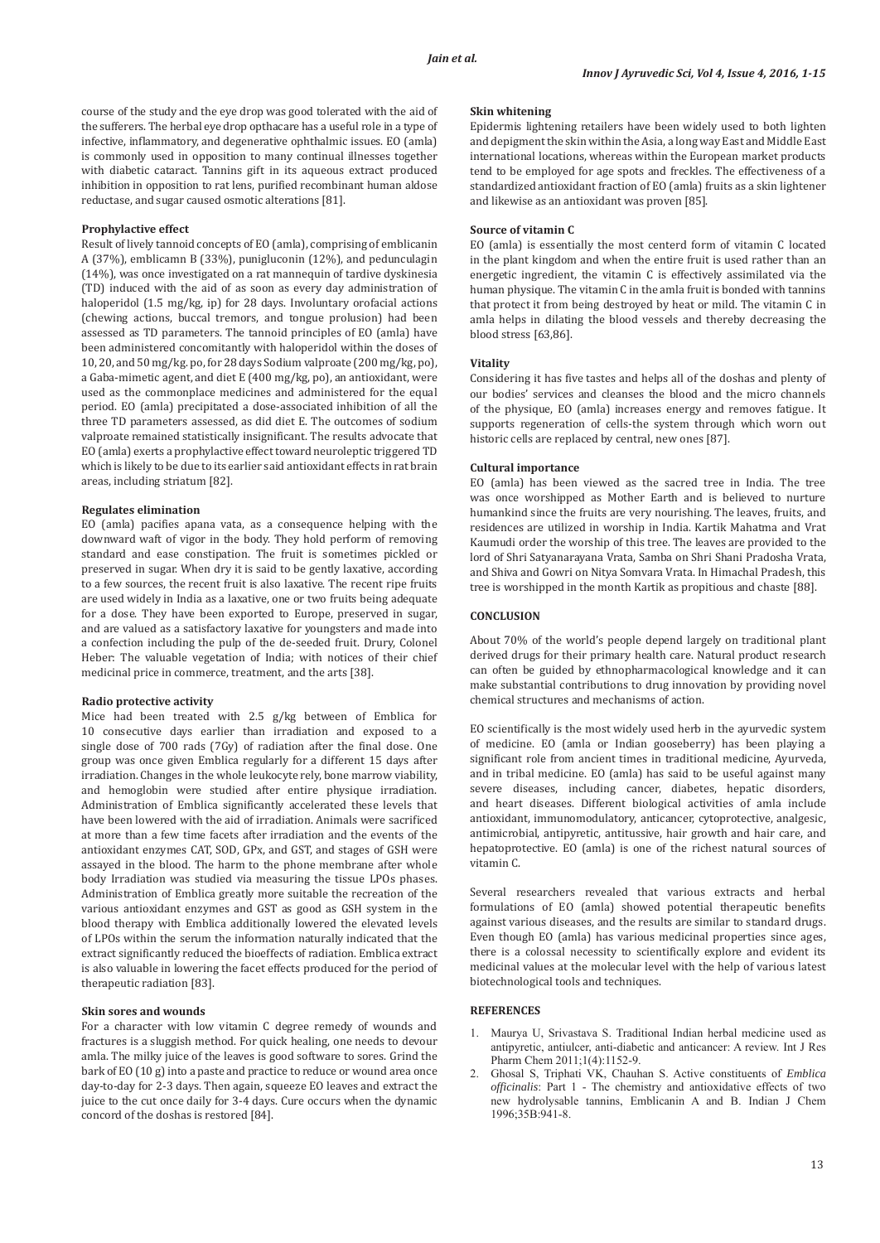course of the study and the eye drop was good tolerated with the aid of the sufferers. The herbal eye drop opthacare has a useful role in a type of infective, inflammatory, and degenerative ophthalmic issues. EO (amla) is commonly used in opposition to many continual illnesses together with diabetic cataract. Tannins gift in its aqueous extract produced inhibition in opposition to rat lens, purified recombinant human aldose reductase, and sugar caused osmotic alterations [81].

#### **Prophylactive effect**

Result of lively tannoid concepts of EO (amla), comprising of emblicanin A (37%), emblicamn B (33%), punigluconin (12%), and pedunculagin (14%), was once investigated on a rat mannequin of tardive dyskinesia (TD) induced with the aid of as soon as every day administration of haloperidol (1.5 mg/kg, ip) for 28 days. Involuntary orofacial actions (chewing actions, buccal tremors, and tongue prolusion) had been assessed as TD parameters. The tannoid principles of EO (amla) have been administered concomitantly with haloperidol within the doses of 10, 20, and 50 mg/kg. po, for 28 days Sodium valproate (200 mg/kg, po), a Gaba-mimetic agent, and diet E (400 mg/kg, po), an antioxidant, were used as the commonplace medicines and administered for the equal period. EO (amla) precipitated a dose-associated inhibition of all the three TD parameters assessed, as did diet E. The outcomes of sodium valproate remained statistically insignificant. The results advocate that EO (amla) exerts a prophylactive effect toward neuroleptic triggered TD which is likely to be due to its earlier said antioxidant effects in rat brain areas, including striatum [82].

### **Regulates elimination**

EO (amla) pacifies apana vata, as a consequence helping with the downward waft of vigor in the body. They hold perform of removing standard and ease constipation. The fruit is sometimes pickled or preserved in sugar. When dry it is said to be gently laxative, according to a few sources, the recent fruit is also laxative. The recent ripe fruits are used widely in India as a laxative, one or two fruits being adequate for a dose. They have been exported to Europe, preserved in sugar, and are valued as a satisfactory laxative for youngsters and made into a confection including the pulp of the de-seeded fruit. Drury, Colonel Heber: The valuable vegetation of India; with notices of their chief medicinal price in commerce, treatment, and the arts [38].

## **Radio protective activity**

Mice had been treated with 2.5 g/kg between of Emblica for 10 consecutive days earlier than irradiation and exposed to a single dose of 700 rads (7Gy) of radiation after the final dose. One group was once given Emblica regularly for a different 15 days after irradiation. Changes in the whole leukocyte rely, bone marrow viability, and hemoglobin were studied after entire physique irradiation. Administration of Emblica significantly accelerated these levels that have been lowered with the aid of irradiation. Animals were sacrificed at more than a few time facets after irradiation and the events of the antioxidant enzymes CAT, SOD, GPx, and GST, and stages of GSH were assayed in the blood. The harm to the phone membrane after whole body Irradiation was studied via measuring the tissue LPOs phases. Administration of Emblica greatly more suitable the recreation of the various antioxidant enzymes and GST as good as GSH system in the blood therapy with Emblica additionally lowered the elevated levels of LPOs within the serum the information naturally indicated that the extract significantly reduced the bioeffects of radiation. Emblica extract is also valuable in lowering the facet effects produced for the period of therapeutic radiation [83].

## **Skin sores and wounds**

For a character with low vitamin C degree remedy of wounds and fractures is a sluggish method. For quick healing, one needs to devour amla. The milky juice of the leaves is good software to sores. Grind the bark of EO (10 g) into a paste and practice to reduce or wound area once day-to-day for 2-3 days. Then again, squeeze EO leaves and extract the juice to the cut once daily for 3-4 days. Cure occurs when the dynamic concord of the doshas is restored [84].

## **Skin whitening**

Epidermis lightening retailers have been widely used to both lighten and depigment the skin within the Asia, a long way East and Middle East international locations, whereas within the European market products tend to be employed for age spots and freckles. The effectiveness of a standardized antioxidant fraction of EO (amla) fruits as a skin lightener and likewise as an antioxidant was proven [85].

#### **Source of vitamin C**

EO (amla) is essentially the most centerd form of vitamin C located in the plant kingdom and when the entire fruit is used rather than an energetic ingredient, the vitamin C is effectively assimilated via the human physique. The vitamin C in the amla fruit is bonded with tannins that protect it from being destroyed by heat or mild. The vitamin C in amla helps in dilating the blood vessels and thereby decreasing the blood stress [63,86].

## **Vitality**

Considering it has five tastes and helps all of the doshas and plenty of our bodies' services and cleanses the blood and the micro channels of the physique, EO (amla) increases energy and removes fatigue. It supports regeneration of cells-the system through which worn out historic cells are replaced by central, new ones [87].

#### **Cultural importance**

EO (amla) has been viewed as the sacred tree in India. The tree was once worshipped as Mother Earth and is believed to nurture humankind since the fruits are very nourishing. The leaves, fruits, and residences are utilized in worship in India. Kartik Mahatma and Vrat Kaumudi order the worship of this tree. The leaves are provided to the lord of Shri Satyanarayana Vrata, Samba on Shri Shani Pradosha Vrata, and Shiva and Gowri on Nitya Somvara Vrata. In Himachal Pradesh, this tree is worshipped in the month Kartik as propitious and chaste [88].

## **CONCLUSION**

About 70% of the world's people depend largely on traditional plant derived drugs for their primary health care. Natural product research can often be guided by ethnopharmacological knowledge and it can make substantial contributions to drug innovation by providing novel chemical structures and mechanisms of action.

EO scientifically is the most widely used herb in the ayurvedic system of medicine. EO (amla or Indian gooseberry) has been playing a significant role from ancient times in traditional medicine, Ayurveda, and in tribal medicine. EO (amla) has said to be useful against many severe diseases, including cancer, diabetes, hepatic disorders, and heart diseases. Different biological activities of amla include antioxidant, immunomodulatory, anticancer, cytoprotective, analgesic, antimicrobial, antipyretic, antitussive, hair growth and hair care, and hepatoprotective. EO (amla) is one of the richest natural sources of vitamin C.

Several researchers revealed that various extracts and herbal formulations of EO (amla) showed potential therapeutic benefits against various diseases, and the results are similar to standard drugs. Even though EO (amla) has various medicinal properties since ages, there is a colossal necessity to scientifically explore and evident its medicinal values at the molecular level with the help of various latest biotechnological tools and techniques.

## **REFERENCES**

- 1. Maurya U, Srivastava S. Traditional Indian herbal medicine used as antipyretic, antiulcer, anti-diabetic and anticancer: A review. Int J Res Pharm Chem 2011;1(4):1152-9.
- 2. Ghosal S, Triphati VK, Chauhan S. Active constituents of *Emblica officinalis*: Part 1 - The chemistry and antioxidative effects of two new hydrolysable tannins, Emblicanin A and B. Indian J Chem 1996;35B:941-8.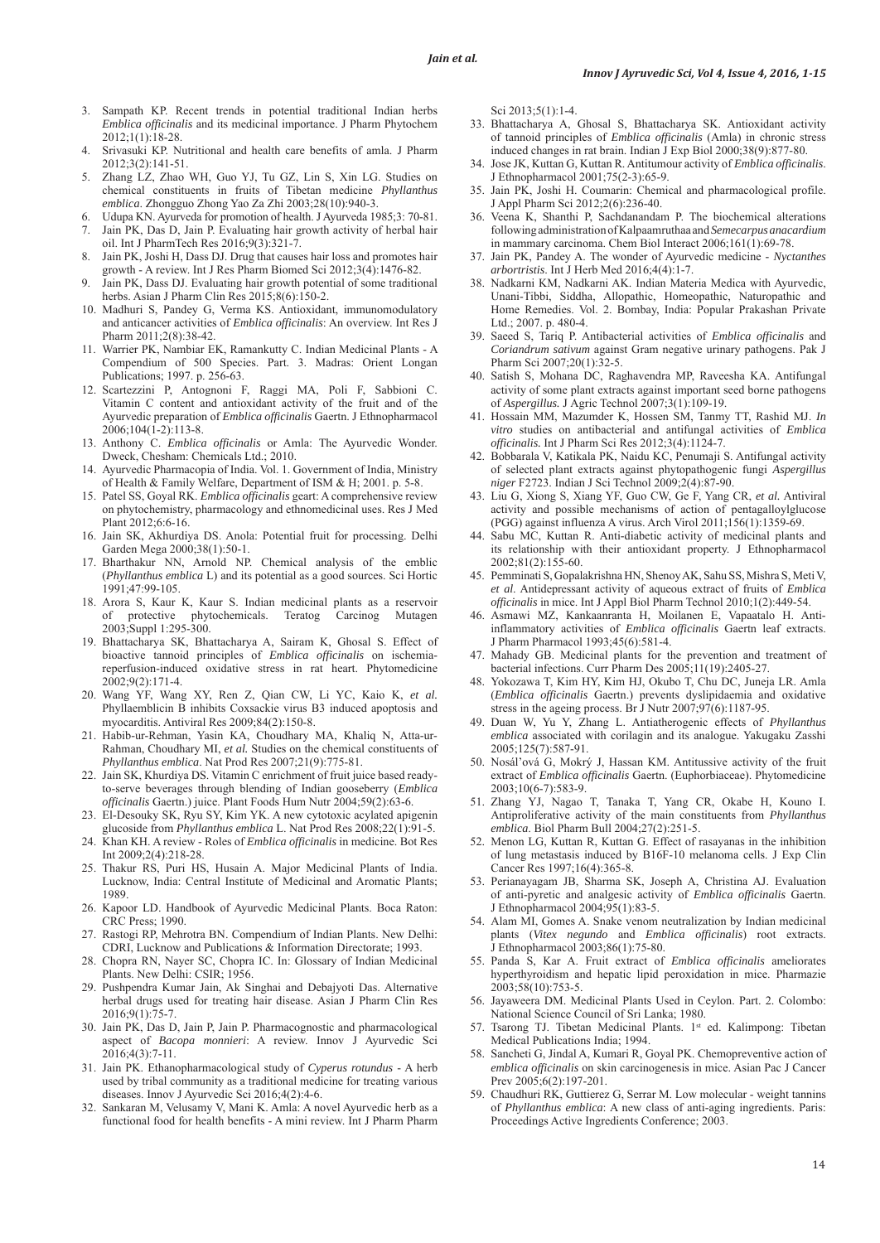- 3. Sampath KP. Recent trends in potential traditional Indian herbs *Emblica officinalis* and its medicinal importance. J Pharm Phytochem  $2012:1(1)$ :18-28
- 4. Srivasuki KP. Nutritional and health care benefits of amla. J Pharm 2012;3(2):141-51.
- 5. Zhang LZ, Zhao WH, Guo YJ, Tu GZ, Lin S, Xin LG. Studies on chemical constituents in fruits of Tibetan medicine *Phyllanthus emblica*. Zhongguo Zhong Yao Za Zhi 2003;28(10):940-3.
- 6. Udupa KN. Ayurveda for promotion of health. J Ayurveda 1985;3: 70-81.
- 7. Jain PK, Das D, Jain P. Evaluating hair growth activity of herbal hair oil. Int J PharmTech Res 2016;9(3):321-7.
- 8. Jain PK, Joshi H, Dass DJ. Drug that causes hair loss and promotes hair growth - A review. Int J Res Pharm Biomed Sci 2012;3(4):1476-82.
- 9. Jain PK, Dass DJ. Evaluating hair growth potential of some traditional herbs. Asian J Pharm Clin Res 2015;8(6):150-2.
- 10. Madhuri S, Pandey G, Verma KS. Antioxidant, immunomodulatory and anticancer activities of *Emblica officinalis*: An overview. Int Res J Pharm 2011;2(8):38-42.
- 11. Warrier PK, Nambiar ЕK, Ramankutty C. Indian Medicinal Plants A Compendium of 500 Species. Part. 3. Madras: Orient Longan Publications; 1997. p. 256-63.
- 12. Scartezzini P, Antognoni F, Raggi MA, Poli F, Sabbioni C. Vitamin C content and antioxidant activity of the fruit and of the Ayurvedic preparation of *Emblica officinalis* Gaertn. J Ethnopharmacol 2006;104(1-2):113-8.
- 13. Anthony C. *Emblica officinalis* or Amla: The Ayurvedic Wonder. Dweck, Chesham: Chemicals Ltd.; 2010.
- 14. Ayurvedic Pharmacopia of India. Vol. 1. Government of India, Ministry of Health & Family Welfare, Department of ISM & H; 2001. p. 5-8.
- 15. Patel SS, Goyal RK. *Emblica officinalis* geart: A comprehensive review on phytochemistry, pharmacology and ethnomedicinal uses. Res J Med Plant 2012;6:6-16.
- 16. Jain SK, Akhurdiya DS. Anola: Potential fruit for processing. Delhi Garden Mega 2000;38(1):50-1.
- 17. Bharthakur NN, Arnold NP. Chemical analysis of the emblic (*Phyllanthus emblica* L) and its potential as a good sources. Sci Hortic 1991;47:99-105.
- 18. Arora S, Kaur K, Kaur S. Indian medicinal plants as a reservoir of protective phytochemicals. Teratog Carcinog Mutagen 2003;Suppl 1:295-300.
- 19. Bhattacharya SK, Bhattacharya A, Sairam K, Ghosal S. Effect of bioactive tannoid principles of *Emblica officinalis* on ischemiareperfusion-induced oxidative stress in rat heart. Phytomedicine 2002;9(2):171-4.
- 20. Wang YF, Wang XY, Ren Z, Qian CW, Li YC, Kaio K, *et al.* Phyllaemblicin B inhibits Coxsackie virus B3 induced apoptosis and myocarditis. Antiviral Res 2009;84(2):150-8.
- 21. Habib-ur-Rehman, Yasin KA, Choudhary MA, Khaliq N, Atta-ur-Rahman, Choudhary MI, *et al.* Studies on the chemical constituents of *Phyllanthus emblica*. Nat Prod Res 2007;21(9):775-81.
- 22. Jain SK, Khurdiya DS. Vitamin C enrichment of fruit juice based readyto-serve beverages through blending of Indian gooseberry (*Emblica officinalis* Gaertn.) juice. Plant Foods Hum Nutr 2004;59(2):63-6.
- 23. El-Desouky SK, Ryu SY, Kim YK. A new cytotoxic acylated apigenin glucoside from *Phyllanthus emblica* L. Nat Prod Res 2008;22(1):91-5.
- 24. Khan KH. A review Roles of *Emblica officinalis* in medicine. Bot Res Int 2009;2(4):218-28.
- 25. Thakur RS, Puri HS, Husain A. Major Medicinal Plants of India. Lucknow, India: Central Institute of Medicinal and Aromatic Plants; 1989.
- 26. Kapoor LD. Handbook of Ayurvedic Medicinal Plants. Boca Raton: CRC Press; 1990.
- 27. Rastogi RP, Mehrotra BN. Compendium of Indian Plants. New Delhi: CDRI, Lucknow and Publications & Information Directorate; 1993.
- 28. Chopra RN, Nayer SC, Chopra IC. In: Glossary of Indian Medicinal Plants. New Delhi: CSIR; 1956.
- 29. Pushpendra Kumar Jain, Ak Singhai and Debajyoti Das. Alternative herbal drugs used for treating hair disease. Asian J Pharm Clin Res 2016;9(1):75-7.
- 30. Jain PK, Das D, Jain P, Jain P. Pharmacognostic and pharmacological aspect of *Bacopa monnieri*: A review. Innov J Ayurvedic Sci 2016;4(3):7-11.
- 31. Jain PK. Ethanopharmacological study of *Cyperus rotundus* A herb used by tribal community as a traditional medicine for treating various diseases. Innov J Ayurvedic Sci 2016;4(2):4-6.
- 32. Sankaran M, Velusamy V, Mani K. Amla: A novel Ayurvedic herb as a functional food for health benefits - A mini review. Int J Pharm Pharm

Sci 2013:5(1):1-4.

- 33. Bhattacharya A, Ghosal S, Bhattacharya SK. Antioxidant activity of tannoid principles of *Emblica officinalis* (Amla) in chronic stress induced changes in rat brain. Indian J Exp Biol 2000;38(9):877-80.
- 34. Jose JK, Kuttan G, Kuttan R. Antitumour activity of *Emblica officinalis*. J Ethnopharmacol 2001;75(2-3):65-9.
- 35. Jain PK, Joshi H. Coumarin: Chemical and pharmacological profile. J Appl Pharm Sci 2012;2(6):236-40.
- 36. Veena K, Shanthi P, Sachdanandam P. The biochemical alterations following administration of Kalpaamruthaa and *Semecarpus anacardium* in mammary carcinoma. Chem Biol Interact 2006;161(1):69-78.
- 37. Jain PK, Pandey A. The wonder of Ayurvedic medicine *Nyctanthes arbortristis*. Int J Herb Med 2016;4(4):1-7.
- 38. Nadkarni KM, Nadkarni AK. Indian Materia Medica with Ayurvedic, Unani-Tibbi, Siddha, Allopathic, Homeopathic, Naturopathic and Home Remedies. Vol. 2. Bombay, India: Popular Prakashan Private Ltd.; 2007. p. 480-4.
- 39. Saeed S, Tariq P. Antibacterial activities of *Emblica officinalis* and *Coriandrum sativum* against Gram negative urinary pathogens. Pak J Pharm Sci 2007;20(1):32-5.
- 40. Satish S, Mohana DC, Raghavendra MP, Raveesha KA. Antifungal activity of some plant extracts against important seed borne pathogens of *Aspergillus.* J Agric Technol 2007;3(1):109-19.
- 41. Hossain MM, Mazumder K, Hossen SM, Tanmy TT, Rashid MJ. *In vitro* studies on antibacterial and antifungal activities of *Emblica officinalis.* Int J Pharm Sci Res 2012;3(4):1124-7.
- 42. Bobbarala V, Katikala PK, Naidu KC, Penumaji S. Antifungal activity of selected plant extracts against phytopathogenic fungi *Aspergillus niger* F2723. Indian J Sci Technol 2009;2(4):87-90.
- 43. Liu G, Xiong S, Xiang YF, Guo CW, Ge F, Yang CR, *et al.* Antiviral activity and possible mechanisms of action of pentagalloylglucose (PGG) against influenza A virus. Arch Virol 2011;156(1):1359-69.
- 44. Sabu MC, Kuttan R. Anti-diabetic activity of medicinal plants and its relationship with their antioxidant property. J Ethnopharmacol 2002;81(2):155-60.
- 45. Pemminati S, Gopalakrishna HN, Shenoy AK, Sahu SS, Mishra S, Meti V, *et al*. Antidepressant activity of aqueous extract of fruits of *Emblica officinalis* in mice. Int J Appl Biol Pharm Technol 2010;1(2):449-54.
- 46. Asmawi MZ, Kankaanranta H, Moilanen E, Vapaatalo H. Antiinflammatory activities of *Emblica officinalis* Gaertn leaf extracts. J Pharm Pharmacol 1993;45(6):581-4.
- 47. Mahady GB. Medicinal plants for the prevention and treatment of bacterial infections. Curr Pharm Des 2005;11(19):2405-27.
- 48. Yokozawa T, Kim HY, Kim HJ, Okubo T, Chu DC, Juneja LR. Amla (*Emblica officinalis* Gaertn.) prevents dyslipidaemia and oxidative stress in the ageing process. Br J Nutr 2007;97(6):1187-95.
- 49. Duan W, Yu Y, Zhang L. Antiatherogenic effects of *Phyllanthus emblica* associated with corilagin and its analogue. Yakugaku Zasshi 2005;125(7):587-91.
- 50. Nosál'ová G, Mokrý J, Hassan KM. Antitussive activity of the fruit extract of *Emblica officinalis* Gaertn. (Euphorbiaceae). Phytomedicine 2003;10(6-7):583-9.
- 51. Zhang YJ, Nagao T, Tanaka T, Yang CR, Okabe H, Kouno I. Antiproliferative activity of the main constituents from *Phyllanthus emblica*. Biol Pharm Bull 2004;27(2):251-5.
- 52. Menon LG, Kuttan R, Kuttan G. Effect of rasayanas in the inhibition of lung metastasis induced by B16F-10 melanoma cells. J Exp Clin Cancer Res 1997;16(4):365-8.
- 53. Perianayagam JB, Sharma SK, Joseph A, Christina AJ. Evaluation of anti-pyretic and analgesic activity of *Emblica officinalis* Gaertn. J Ethnopharmacol 2004;95(1):83-5.
- 54. Alam MI, Gomes A. Snake venom neutralization by Indian medicinal plants (*Vitex negundo* and *Emblica officinalis*) root extracts. J Ethnopharmacol 2003;86(1):75-80.
- 55. Panda S, Kar A. Fruit extract of *Emblica officinalis* ameliorates hyperthyroidism and hepatic lipid peroxidation in mice. Pharmazie 2003;58(10):753-5.
- 56. Jayaweera DM. Medicinal Plants Used in Ceylon. Part. 2. Colombo: National Science Council of Sri Lanka; 1980.
- 57. Tsarong TJ. Tibetan Medicinal Plants. 1<sup>st</sup> ed. Kalimpong: Tibetan Medical Publications India; 1994.
- 58. Sancheti G, Jindal A, Kumari R, Goyal PK. Chemopreventive action of *emblica officinalis* on skin carcinogenesis in mice. Asian Pac J Cancer Prev 2005;6(2):197-201.
- 59. Chaudhuri RK, Guttierez G, Serrar M. Low molecular weight tannins of *Phyllanthus emblica*: A new class of anti-aging ingredients. Paris: Proceedings Active Ingredients Conference; 2003.